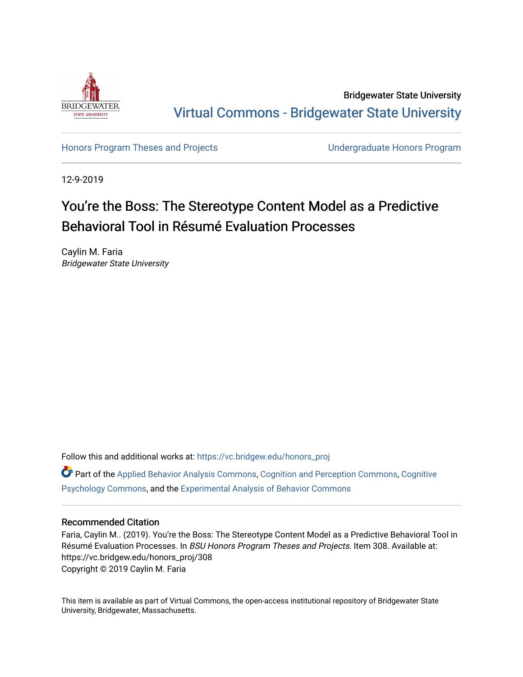

Bridgewater State University [Virtual Commons - Bridgewater State University](https://vc.bridgew.edu/) 

[Honors Program Theses and Projects](https://vc.bridgew.edu/honors_proj) [Undergraduate Honors Program](https://vc.bridgew.edu/honors) 

12-9-2019

# You're the Boss: The Stereotype Content Model as a Predictive Behavioral Tool in Résumé Evaluation Processes

Caylin M. Faria Bridgewater State University

Follow this and additional works at: [https://vc.bridgew.edu/honors\\_proj](https://vc.bridgew.edu/honors_proj?utm_source=vc.bridgew.edu%2Fhonors_proj%2F308&utm_medium=PDF&utm_campaign=PDFCoverPages)

Part of the [Applied Behavior Analysis Commons](http://network.bepress.com/hgg/discipline/1235?utm_source=vc.bridgew.edu%2Fhonors_proj%2F308&utm_medium=PDF&utm_campaign=PDFCoverPages), [Cognition and Perception Commons,](http://network.bepress.com/hgg/discipline/407?utm_source=vc.bridgew.edu%2Fhonors_proj%2F308&utm_medium=PDF&utm_campaign=PDFCoverPages) [Cognitive](http://network.bepress.com/hgg/discipline/408?utm_source=vc.bridgew.edu%2Fhonors_proj%2F308&utm_medium=PDF&utm_campaign=PDFCoverPages)  [Psychology Commons,](http://network.bepress.com/hgg/discipline/408?utm_source=vc.bridgew.edu%2Fhonors_proj%2F308&utm_medium=PDF&utm_campaign=PDFCoverPages) and the [Experimental Analysis of Behavior Commons](http://network.bepress.com/hgg/discipline/1236?utm_source=vc.bridgew.edu%2Fhonors_proj%2F308&utm_medium=PDF&utm_campaign=PDFCoverPages)

## Recommended Citation

Faria, Caylin M.. (2019). You're the Boss: The Stereotype Content Model as a Predictive Behavioral Tool in Résumé Evaluation Processes. In BSU Honors Program Theses and Projects. Item 308. Available at: https://vc.bridgew.edu/honors\_proj/308 Copyright © 2019 Caylin M. Faria

This item is available as part of Virtual Commons, the open-access institutional repository of Bridgewater State University, Bridgewater, Massachusetts.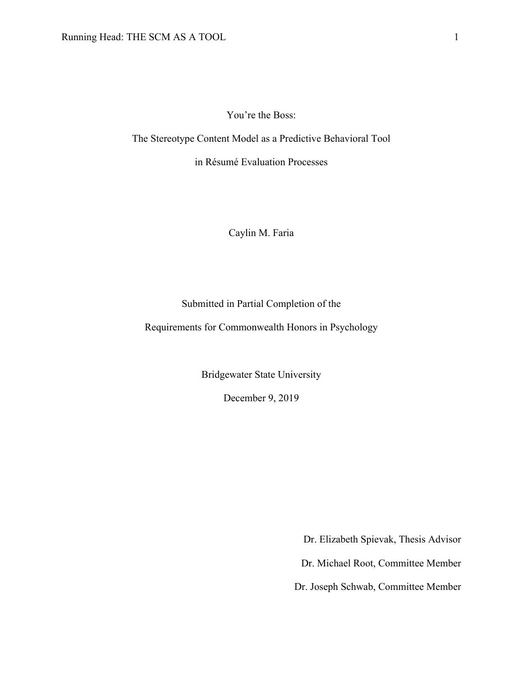You're the Boss:

The Stereotype Content Model as a Predictive Behavioral Tool

in Résumé Evaluation Processes

Caylin M. Faria

Submitted in Partial Completion of the

Requirements for Commonwealth Honors in Psychology

Bridgewater State University

December 9, 2019

Dr. Elizabeth Spievak, Thesis Advisor

Dr. Michael Root, Committee Member

Dr. Joseph Schwab, Committee Member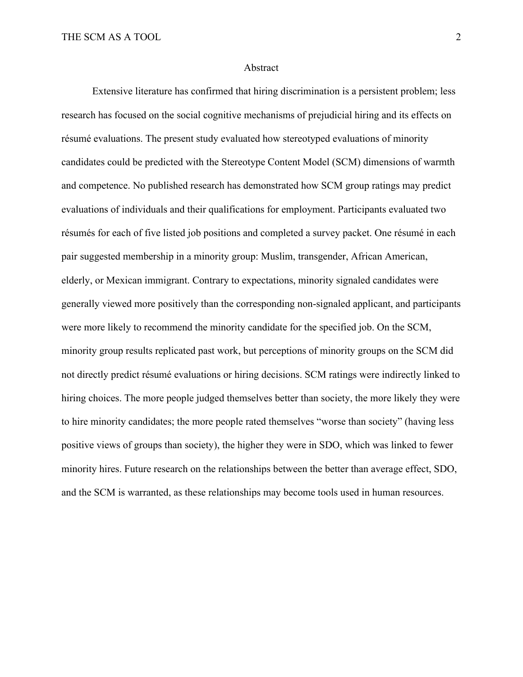#### Abstract

Extensive literature has confirmed that hiring discrimination is a persistent problem; less research has focused on the social cognitive mechanisms of prejudicial hiring and its effects on résumé evaluations. The present study evaluated how stereotyped evaluations of minority candidates could be predicted with the Stereotype Content Model (SCM) dimensions of warmth and competence. No published research has demonstrated how SCM group ratings may predict evaluations of individuals and their qualifications for employment. Participants evaluated two résumés for each of five listed job positions and completed a survey packet. One résumé in each pair suggested membership in a minority group: Muslim, transgender, African American, elderly, or Mexican immigrant. Contrary to expectations, minority signaled candidates were generally viewed more positively than the corresponding non-signaled applicant, and participants were more likely to recommend the minority candidate for the specified job. On the SCM, minority group results replicated past work, but perceptions of minority groups on the SCM did not directly predict résumé evaluations or hiring decisions. SCM ratings were indirectly linked to hiring choices. The more people judged themselves better than society, the more likely they were to hire minority candidates; the more people rated themselves "worse than society" (having less positive views of groups than society), the higher they were in SDO, which was linked to fewer minority hires. Future research on the relationships between the better than average effect, SDO, and the SCM is warranted, as these relationships may become tools used in human resources.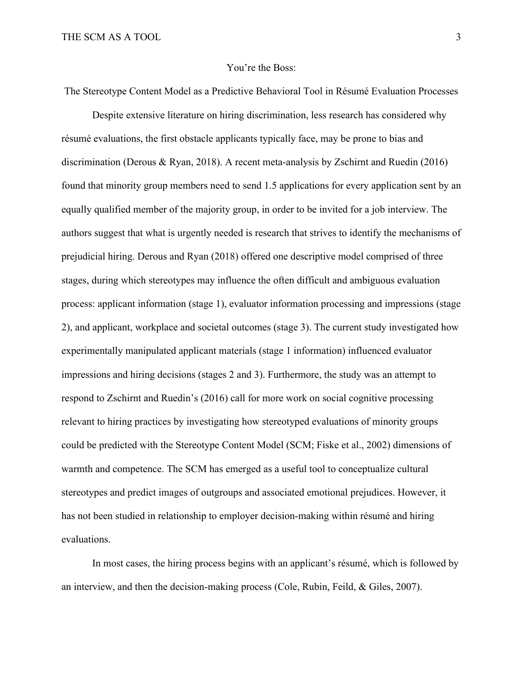#### You're the Boss:

The Stereotype Content Model as a Predictive Behavioral Tool in Résumé Evaluation Processes

Despite extensive literature on hiring discrimination, less research has considered why résumé evaluations, the first obstacle applicants typically face, may be prone to bias and discrimination (Derous & Ryan, 2018). A recent meta-analysis by Zschirnt and Ruedin (2016) found that minority group members need to send 1.5 applications for every application sent by an equally qualified member of the majority group, in order to be invited for a job interview. The authors suggest that what is urgently needed is research that strives to identify the mechanisms of prejudicial hiring. Derous and Ryan (2018) offered one descriptive model comprised of three stages, during which stereotypes may influence the often difficult and ambiguous evaluation process: applicant information (stage 1), evaluator information processing and impressions (stage 2), and applicant, workplace and societal outcomes (stage 3). The current study investigated how experimentally manipulated applicant materials (stage 1 information) influenced evaluator impressions and hiring decisions (stages 2 and 3). Furthermore, the study was an attempt to respond to Zschirnt and Ruedin's (2016) call for more work on social cognitive processing relevant to hiring practices by investigating how stereotyped evaluations of minority groups could be predicted with the Stereotype Content Model (SCM; Fiske et al., 2002) dimensions of warmth and competence. The SCM has emerged as a useful tool to conceptualize cultural stereotypes and predict images of outgroups and associated emotional prejudices. However, it has not been studied in relationship to employer decision-making within résumé and hiring evaluations.

In most cases, the hiring process begins with an applicant's résumé, which is followed by an interview, and then the decision-making process (Cole, Rubin, Feild, & Giles, 2007).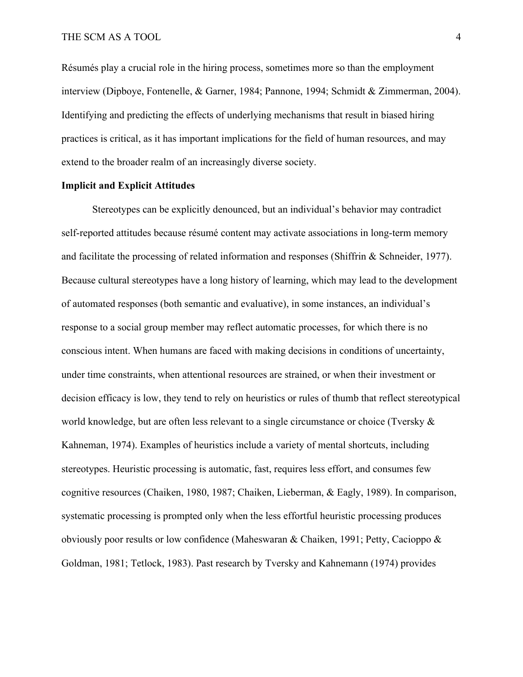Résumés play a crucial role in the hiring process, sometimes more so than the employment interview (Dipboye, Fontenelle, & Garner, 1984; Pannone, 1994; Schmidt & Zimmerman, 2004). Identifying and predicting the effects of underlying mechanisms that result in biased hiring practices is critical, as it has important implications for the field of human resources, and may extend to the broader realm of an increasingly diverse society.

### **Implicit and Explicit Attitudes**

Stereotypes can be explicitly denounced, but an individual's behavior may contradict self-reported attitudes because résumé content may activate associations in long-term memory and facilitate the processing of related information and responses (Shiffrin & Schneider, 1977). Because cultural stereotypes have a long history of learning, which may lead to the development of automated responses (both semantic and evaluative), in some instances, an individual's response to a social group member may reflect automatic processes, for which there is no conscious intent. When humans are faced with making decisions in conditions of uncertainty, under time constraints, when attentional resources are strained, or when their investment or decision efficacy is low, they tend to rely on heuristics or rules of thumb that reflect stereotypical world knowledge, but are often less relevant to a single circumstance or choice (Tversky & Kahneman, 1974). Examples of heuristics include a variety of mental shortcuts, including stereotypes. Heuristic processing is automatic, fast, requires less effort, and consumes few cognitive resources (Chaiken, 1980, 1987; Chaiken, Lieberman, & Eagly, 1989). In comparison, systematic processing is prompted only when the less effortful heuristic processing produces obviously poor results or low confidence (Maheswaran & Chaiken, 1991; Petty, Cacioppo & Goldman, 1981; Tetlock, 1983). Past research by Tversky and Kahnemann (1974) provides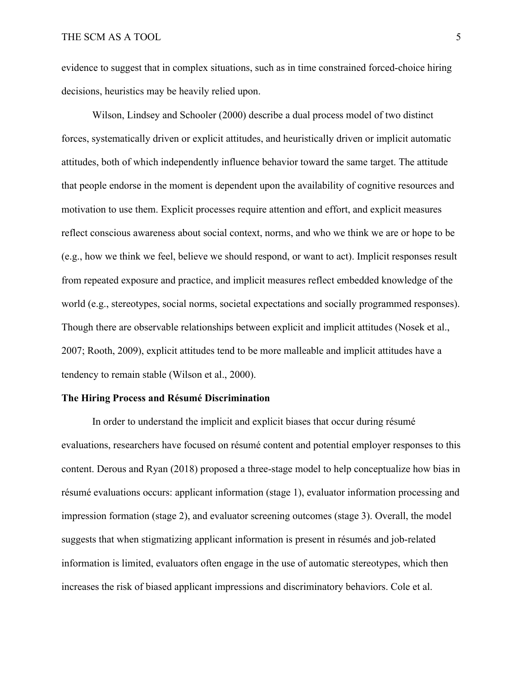evidence to suggest that in complex situations, such as in time constrained forced-choice hiring decisions, heuristics may be heavily relied upon.

Wilson, Lindsey and Schooler (2000) describe a dual process model of two distinct forces, systematically driven or explicit attitudes, and heuristically driven or implicit automatic attitudes, both of which independently influence behavior toward the same target. The attitude that people endorse in the moment is dependent upon the availability of cognitive resources and motivation to use them. Explicit processes require attention and effort, and explicit measures reflect conscious awareness about social context, norms, and who we think we are or hope to be (e.g., how we think we feel, believe we should respond, or want to act). Implicit responses result from repeated exposure and practice, and implicit measures reflect embedded knowledge of the world (e.g., stereotypes, social norms, societal expectations and socially programmed responses). Though there are observable relationships between explicit and implicit attitudes (Nosek et al., 2007; Rooth, 2009), explicit attitudes tend to be more malleable and implicit attitudes have a tendency to remain stable (Wilson et al., 2000).

#### **The Hiring Process and Résumé Discrimination**

In order to understand the implicit and explicit biases that occur during résumé evaluations, researchers have focused on résumé content and potential employer responses to this content. Derous and Ryan (2018) proposed a three-stage model to help conceptualize how bias in résumé evaluations occurs: applicant information (stage 1), evaluator information processing and impression formation (stage 2), and evaluator screening outcomes (stage 3). Overall, the model suggests that when stigmatizing applicant information is present in résumés and job-related information is limited, evaluators often engage in the use of automatic stereotypes, which then increases the risk of biased applicant impressions and discriminatory behaviors. Cole et al.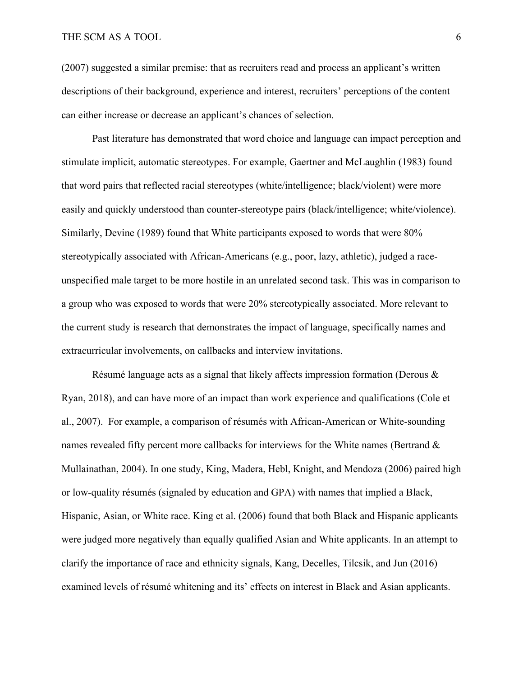(2007) suggested a similar premise: that as recruiters read and process an applicant's written descriptions of their background, experience and interest, recruiters' perceptions of the content can either increase or decrease an applicant's chances of selection.

Past literature has demonstrated that word choice and language can impact perception and stimulate implicit, automatic stereotypes. For example, Gaertner and McLaughlin (1983) found that word pairs that reflected racial stereotypes (white/intelligence; black/violent) were more easily and quickly understood than counter-stereotype pairs (black/intelligence; white/violence). Similarly, Devine (1989) found that White participants exposed to words that were 80% stereotypically associated with African-Americans (e.g., poor, lazy, athletic), judged a raceunspecified male target to be more hostile in an unrelated second task. This was in comparison to a group who was exposed to words that were 20% stereotypically associated. More relevant to the current study is research that demonstrates the impact of language, specifically names and extracurricular involvements, on callbacks and interview invitations.

Résumé language acts as a signal that likely affects impression formation (Derous & Ryan, 2018), and can have more of an impact than work experience and qualifications (Cole et al., 2007). For example, a comparison of résumés with African-American or White-sounding names revealed fifty percent more callbacks for interviews for the White names (Bertrand & Mullainathan, 2004). In one study, King, Madera, Hebl, Knight, and Mendoza (2006) paired high or low-quality résumés (signaled by education and GPA) with names that implied a Black, Hispanic, Asian, or White race. King et al. (2006) found that both Black and Hispanic applicants were judged more negatively than equally qualified Asian and White applicants. In an attempt to clarify the importance of race and ethnicity signals, Kang, Decelles, Tilcsik, and Jun (2016) examined levels of résumé whitening and its' effects on interest in Black and Asian applicants.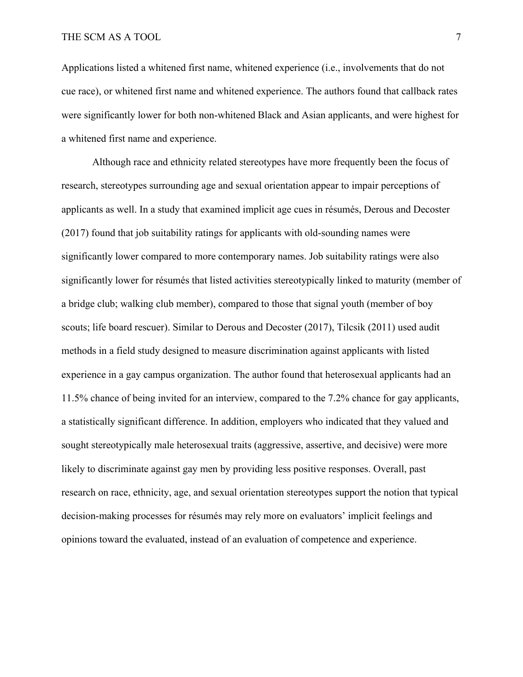Applications listed a whitened first name, whitened experience (i.e., involvements that do not cue race), or whitened first name and whitened experience. The authors found that callback rates were significantly lower for both non-whitened Black and Asian applicants, and were highest for a whitened first name and experience.

Although race and ethnicity related stereotypes have more frequently been the focus of research, stereotypes surrounding age and sexual orientation appear to impair perceptions of applicants as well. In a study that examined implicit age cues in résumés, Derous and Decoster (2017) found that job suitability ratings for applicants with old-sounding names were significantly lower compared to more contemporary names. Job suitability ratings were also significantly lower for résumés that listed activities stereotypically linked to maturity (member of a bridge club; walking club member), compared to those that signal youth (member of boy scouts; life board rescuer). Similar to Derous and Decoster (2017), Tilcsik (2011) used audit methods in a field study designed to measure discrimination against applicants with listed experience in a gay campus organization. The author found that heterosexual applicants had an 11.5% chance of being invited for an interview, compared to the 7.2% chance for gay applicants, a statistically significant difference. In addition, employers who indicated that they valued and sought stereotypically male heterosexual traits (aggressive, assertive, and decisive) were more likely to discriminate against gay men by providing less positive responses. Overall, past research on race, ethnicity, age, and sexual orientation stereotypes support the notion that typical decision-making processes for résumés may rely more on evaluators' implicit feelings and opinions toward the evaluated, instead of an evaluation of competence and experience.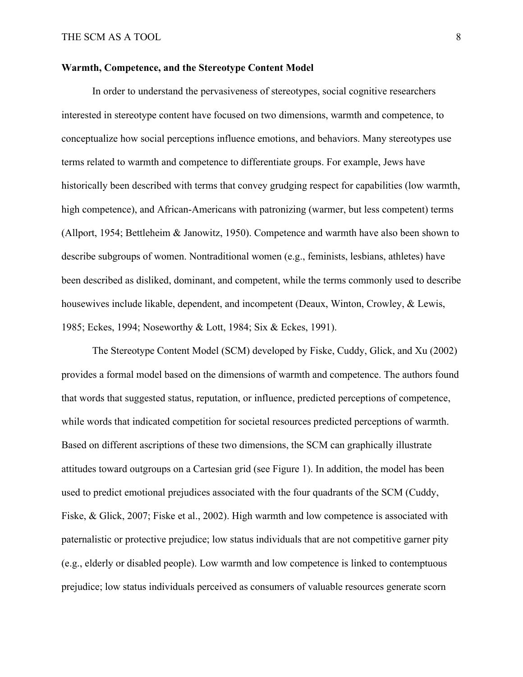#### **Warmth, Competence, and the Stereotype Content Model**

In order to understand the pervasiveness of stereotypes, social cognitive researchers interested in stereotype content have focused on two dimensions, warmth and competence, to conceptualize how social perceptions influence emotions, and behaviors. Many stereotypes use terms related to warmth and competence to differentiate groups. For example, Jews have historically been described with terms that convey grudging respect for capabilities (low warmth, high competence), and African-Americans with patronizing (warmer, but less competent) terms (Allport, 1954; Bettleheim & Janowitz, 1950). Competence and warmth have also been shown to describe subgroups of women. Nontraditional women (e.g., feminists, lesbians, athletes) have been described as disliked, dominant, and competent, while the terms commonly used to describe housewives include likable, dependent, and incompetent (Deaux, Winton, Crowley, & Lewis, 1985; Eckes, 1994; Noseworthy & Lott, 1984; Six & Eckes, 1991).

The Stereotype Content Model (SCM) developed by Fiske, Cuddy, Glick, and Xu (2002) provides a formal model based on the dimensions of warmth and competence. The authors found that words that suggested status, reputation, or influence, predicted perceptions of competence, while words that indicated competition for societal resources predicted perceptions of warmth. Based on different ascriptions of these two dimensions, the SCM can graphically illustrate attitudes toward outgroups on a Cartesian grid (see Figure 1). In addition, the model has been used to predict emotional prejudices associated with the four quadrants of the SCM (Cuddy, Fiske, & Glick, 2007; Fiske et al., 2002). High warmth and low competence is associated with paternalistic or protective prejudice; low status individuals that are not competitive garner pity (e.g., elderly or disabled people). Low warmth and low competence is linked to contemptuous prejudice; low status individuals perceived as consumers of valuable resources generate scorn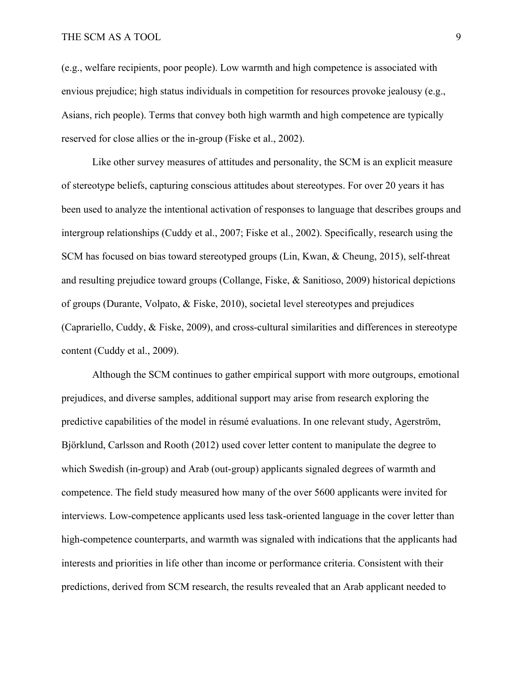(e.g., welfare recipients, poor people). Low warmth and high competence is associated with envious prejudice; high status individuals in competition for resources provoke jealousy (e.g., Asians, rich people). Terms that convey both high warmth and high competence are typically reserved for close allies or the in-group (Fiske et al., 2002).

Like other survey measures of attitudes and personality, the SCM is an explicit measure of stereotype beliefs, capturing conscious attitudes about stereotypes. For over 20 years it has been used to analyze the intentional activation of responses to language that describes groups and intergroup relationships (Cuddy et al., 2007; Fiske et al., 2002). Specifically, research using the SCM has focused on bias toward stereotyped groups (Lin, Kwan, & Cheung, 2015), self-threat and resulting prejudice toward groups (Collange, Fiske, & Sanitioso, 2009) historical depictions of groups (Durante, Volpato, & Fiske, 2010), societal level stereotypes and prejudices (Caprariello, Cuddy, & Fiske, 2009), and cross-cultural similarities and differences in stereotype content (Cuddy et al., 2009).

Although the SCM continues to gather empirical support with more outgroups, emotional prejudices, and diverse samples, additional support may arise from research exploring the predictive capabilities of the model in résumé evaluations. In one relevant study, Agerström, Björklund, Carlsson and Rooth (2012) used cover letter content to manipulate the degree to which Swedish (in-group) and Arab (out-group) applicants signaled degrees of warmth and competence. The field study measured how many of the over 5600 applicants were invited for interviews. Low-competence applicants used less task-oriented language in the cover letter than high-competence counterparts, and warmth was signaled with indications that the applicants had interests and priorities in life other than income or performance criteria. Consistent with their predictions, derived from SCM research, the results revealed that an Arab applicant needed to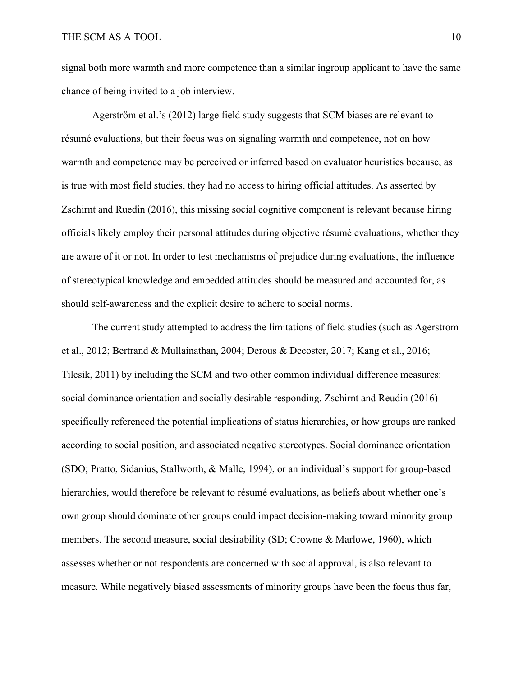signal both more warmth and more competence than a similar ingroup applicant to have the same chance of being invited to a job interview.

Agerström et al.'s (2012) large field study suggests that SCM biases are relevant to résumé evaluations, but their focus was on signaling warmth and competence, not on how warmth and competence may be perceived or inferred based on evaluator heuristics because, as is true with most field studies, they had no access to hiring official attitudes. As asserted by Zschirnt and Ruedin (2016), this missing social cognitive component is relevant because hiring officials likely employ their personal attitudes during objective résumé evaluations, whether they are aware of it or not. In order to test mechanisms of prejudice during evaluations, the influence of stereotypical knowledge and embedded attitudes should be measured and accounted for, as should self-awareness and the explicit desire to adhere to social norms.

The current study attempted to address the limitations of field studies (such as Agerstrom et al., 2012; Bertrand & Mullainathan, 2004; Derous & Decoster, 2017; Kang et al., 2016; Tilcsik, 2011) by including the SCM and two other common individual difference measures: social dominance orientation and socially desirable responding. Zschirnt and Reudin (2016) specifically referenced the potential implications of status hierarchies, or how groups are ranked according to social position, and associated negative stereotypes. Social dominance orientation (SDO; Pratto, Sidanius, Stallworth, & Malle, 1994), or an individual's support for group-based hierarchies, would therefore be relevant to résumé evaluations, as beliefs about whether one's own group should dominate other groups could impact decision-making toward minority group members. The second measure, social desirability (SD; Crowne & Marlowe, 1960), which assesses whether or not respondents are concerned with social approval, is also relevant to measure. While negatively biased assessments of minority groups have been the focus thus far,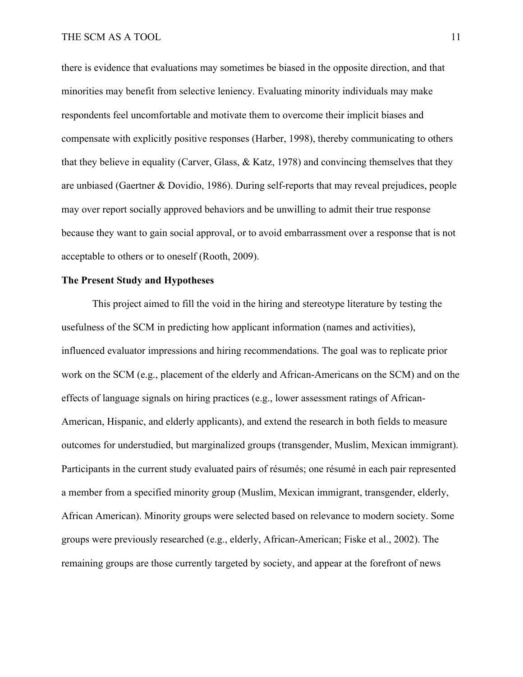there is evidence that evaluations may sometimes be biased in the opposite direction, and that minorities may benefit from selective leniency. Evaluating minority individuals may make respondents feel uncomfortable and motivate them to overcome their implicit biases and compensate with explicitly positive responses (Harber, 1998), thereby communicating to others that they believe in equality (Carver, Glass, & Katz, 1978) and convincing themselves that they are unbiased (Gaertner & Dovidio, 1986). During self-reports that may reveal prejudices, people may over report socially approved behaviors and be unwilling to admit their true response because they want to gain social approval, or to avoid embarrassment over a response that is not acceptable to others or to oneself (Rooth, 2009).

## **The Present Study and Hypotheses**

This project aimed to fill the void in the hiring and stereotype literature by testing the usefulness of the SCM in predicting how applicant information (names and activities), influenced evaluator impressions and hiring recommendations. The goal was to replicate prior work on the SCM (e.g., placement of the elderly and African-Americans on the SCM) and on the effects of language signals on hiring practices (e.g., lower assessment ratings of African-American, Hispanic, and elderly applicants), and extend the research in both fields to measure outcomes for understudied, but marginalized groups (transgender, Muslim, Mexican immigrant). Participants in the current study evaluated pairs of résumés; one résumé in each pair represented a member from a specified minority group (Muslim, Mexican immigrant, transgender, elderly, African American). Minority groups were selected based on relevance to modern society. Some groups were previously researched (e.g., elderly, African-American; Fiske et al., 2002). The remaining groups are those currently targeted by society, and appear at the forefront of news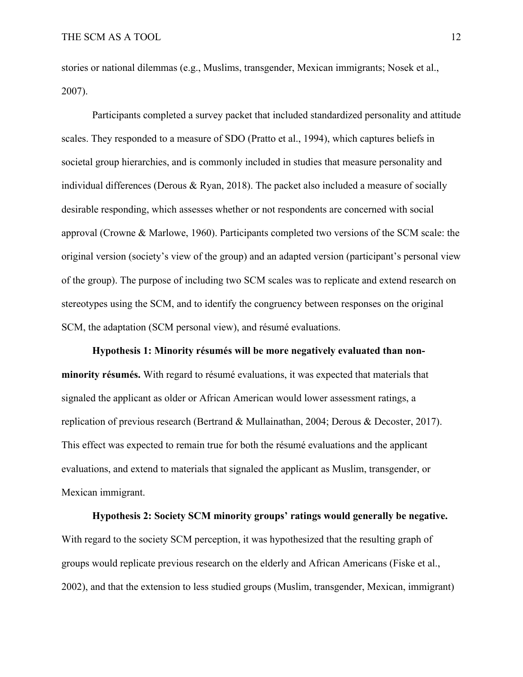stories or national dilemmas (e.g., Muslims, transgender, Mexican immigrants; Nosek et al., 2007).

Participants completed a survey packet that included standardized personality and attitude scales. They responded to a measure of SDO (Pratto et al., 1994), which captures beliefs in societal group hierarchies, and is commonly included in studies that measure personality and individual differences (Derous & Ryan, 2018). The packet also included a measure of socially desirable responding, which assesses whether or not respondents are concerned with social approval (Crowne & Marlowe, 1960). Participants completed two versions of the SCM scale: the original version (society's view of the group) and an adapted version (participant's personal view of the group). The purpose of including two SCM scales was to replicate and extend research on stereotypes using the SCM, and to identify the congruency between responses on the original SCM, the adaptation (SCM personal view), and résumé evaluations.

**Hypothesis 1: Minority résumés will be more negatively evaluated than nonminority résumés.** With regard to résumé evaluations, it was expected that materials that signaled the applicant as older or African American would lower assessment ratings, a replication of previous research (Bertrand & Mullainathan, 2004; Derous & Decoster, 2017). This effect was expected to remain true for both the résumé evaluations and the applicant evaluations, and extend to materials that signaled the applicant as Muslim, transgender, or Mexican immigrant.

**Hypothesis 2: Society SCM minority groups' ratings would generally be negative.**  With regard to the society SCM perception, it was hypothesized that the resulting graph of groups would replicate previous research on the elderly and African Americans (Fiske et al., 2002), and that the extension to less studied groups (Muslim, transgender, Mexican, immigrant)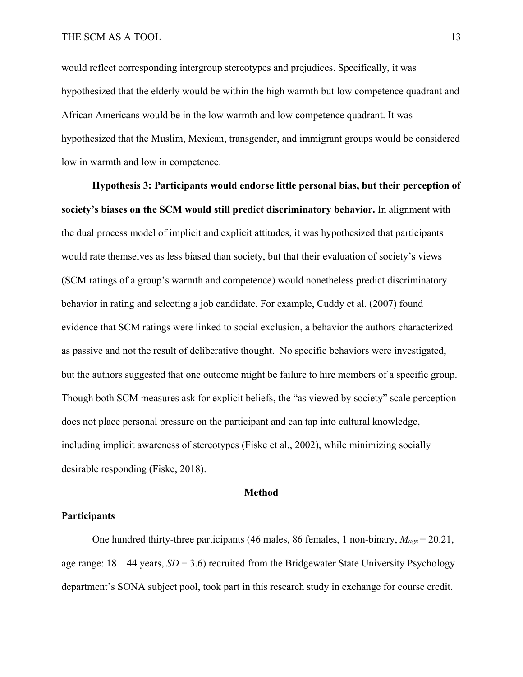would reflect corresponding intergroup stereotypes and prejudices. Specifically, it was hypothesized that the elderly would be within the high warmth but low competence quadrant and African Americans would be in the low warmth and low competence quadrant. It was hypothesized that the Muslim, Mexican, transgender, and immigrant groups would be considered low in warmth and low in competence.

**Hypothesis 3: Participants would endorse little personal bias, but their perception of society's biases on the SCM would still predict discriminatory behavior.** In alignment with the dual process model of implicit and explicit attitudes, it was hypothesized that participants would rate themselves as less biased than society, but that their evaluation of society's views (SCM ratings of a group's warmth and competence) would nonetheless predict discriminatory behavior in rating and selecting a job candidate. For example, Cuddy et al. (2007) found evidence that SCM ratings were linked to social exclusion, a behavior the authors characterized as passive and not the result of deliberative thought. No specific behaviors were investigated, but the authors suggested that one outcome might be failure to hire members of a specific group. Though both SCM measures ask for explicit beliefs, the "as viewed by society" scale perception does not place personal pressure on the participant and can tap into cultural knowledge, including implicit awareness of stereotypes (Fiske et al., 2002), while minimizing socially desirable responding (Fiske, 2018).

#### **Method**

## **Participants**

One hundred thirty-three participants (46 males, 86 females, 1 non-binary, *Mage* = 20.21, age range:  $18 - 44$  years,  $SD = 3.6$ ) recruited from the Bridgewater State University Psychology department's SONA subject pool, took part in this research study in exchange for course credit.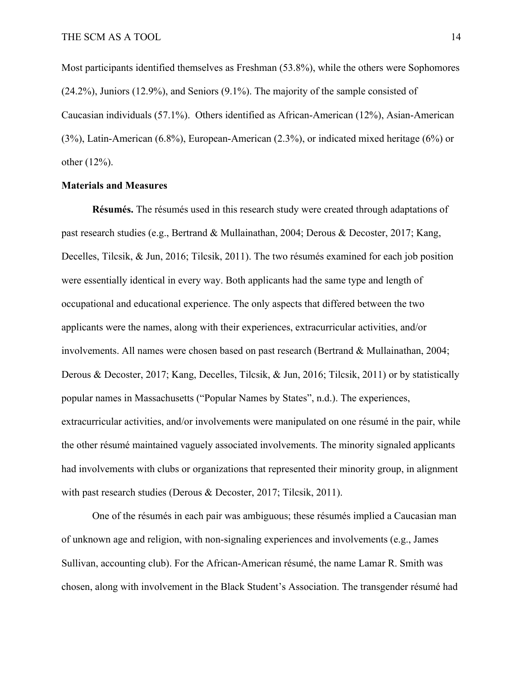Most participants identified themselves as Freshman (53.8%), while the others were Sophomores (24.2%), Juniors (12.9%), and Seniors (9.1%). The majority of the sample consisted of Caucasian individuals (57.1%). Others identified as African-American (12%), Asian-American (3%), Latin-American (6.8%), European-American (2.3%), or indicated mixed heritage (6%) or other (12%).

#### **Materials and Measures**

**Résumés.** The résumés used in this research study were created through adaptations of past research studies (e.g., Bertrand & Mullainathan, 2004; Derous & Decoster, 2017; Kang, Decelles, Tilcsik, & Jun, 2016; Tilcsik, 2011). The two résumés examined for each job position were essentially identical in every way. Both applicants had the same type and length of occupational and educational experience. The only aspects that differed between the two applicants were the names, along with their experiences, extracurricular activities, and/or involvements. All names were chosen based on past research (Bertrand & Mullainathan, 2004; Derous & Decoster, 2017; Kang, Decelles, Tilcsik, & Jun, 2016; Tilcsik, 2011) or by statistically popular names in Massachusetts ("Popular Names by States", n.d.). The experiences, extracurricular activities, and/or involvements were manipulated on one résumé in the pair, while the other résumé maintained vaguely associated involvements. The minority signaled applicants had involvements with clubs or organizations that represented their minority group, in alignment with past research studies (Derous & Decoster, 2017; Tilcsik, 2011).

One of the résumés in each pair was ambiguous; these résumés implied a Caucasian man of unknown age and religion, with non-signaling experiences and involvements (e.g., James Sullivan, accounting club). For the African-American résumé, the name Lamar R. Smith was chosen, along with involvement in the Black Student's Association. The transgender résumé had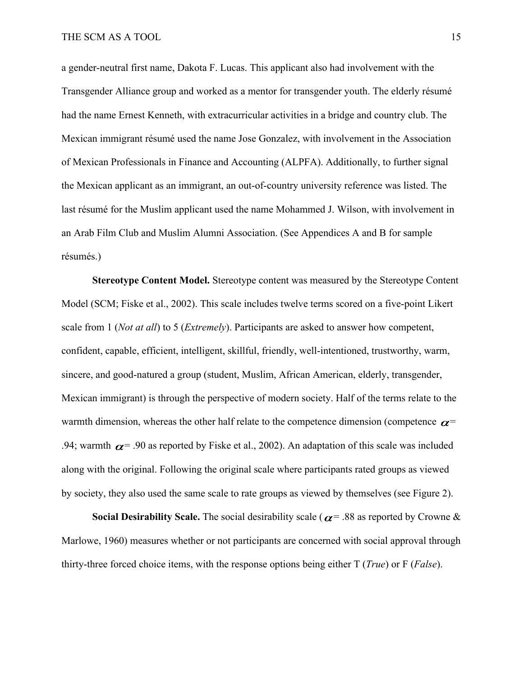a gender-neutral first name, Dakota F. Lucas. This applicant also had involvement with the Transgender Alliance group and worked as a mentor for transgender youth. The elderly résumé had the name Ernest Kenneth, with extracurricular activities in a bridge and country club. The Mexican immigrant résumé used the name Jose Gonzalez, with involvement in the Association of Mexican Professionals in Finance and Accounting (ALPFA). Additionally, to further signal the Mexican applicant as an immigrant, an out-of-country university reference was listed. The last résumé for the Muslim applicant used the name Mohammed J. Wilson, with involvement in an Arab Film Club and Muslim Alumni Association. (See Appendices A and B for sample résumés.)

**Stereotype Content Model.** Stereotype content was measured by the Stereotype Content Model (SCM; Fiske et al., 2002). This scale includes twelve terms scored on a five-point Likert scale from 1 (*Not at all*) to 5 (*Extremely*). Participants are asked to answer how competent, confident, capable, efficient, intelligent, skillful, friendly, well-intentioned, trustworthy, warm, sincere, and good-natured a group (student, Muslim, African American, elderly, transgender, Mexican immigrant) is through the perspective of modern society. Half of the terms relate to the warmth dimension, whereas the other half relate to the competence dimension (competence  $\alpha$ = .94; warmth  $\alpha$  = .90 as reported by Fiske et al., 2002). An adaptation of this scale was included along with the original. Following the original scale where participants rated groups as viewed by society, they also used the same scale to rate groups as viewed by themselves (see Figure 2).

**Social Desirability Scale.** The social desirability scale ( $\alpha$  = .88 as reported by Crowne & Marlowe, 1960) measures whether or not participants are concerned with social approval through thirty-three forced choice items, with the response options being either T (*True*) or F (*False*).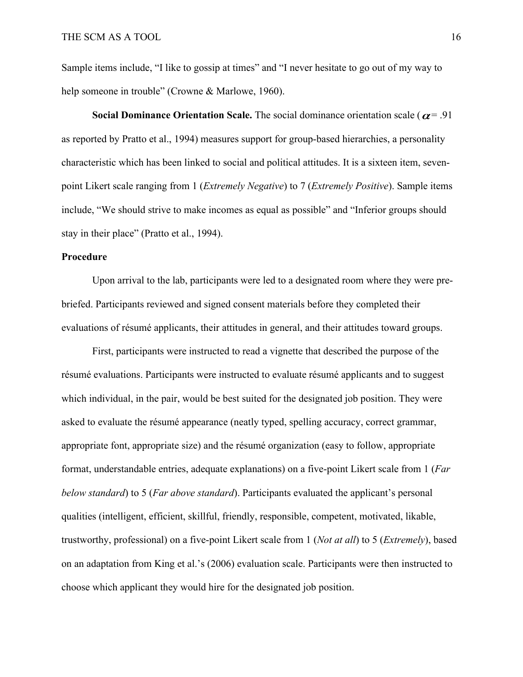Sample items include, "I like to gossip at times" and "I never hesitate to go out of my way to help someone in trouble" (Crowne & Marlowe, 1960).

**Social Dominance Orientation Scale.** The social dominance orientation scale ( $\alpha$ = .91) as reported by Pratto et al., 1994) measures support for group-based hierarchies, a personality characteristic which has been linked to social and political attitudes. It is a sixteen item, sevenpoint Likert scale ranging from 1 (*Extremely Negative*) to 7 (*Extremely Positive*). Sample items include, "We should strive to make incomes as equal as possible" and "Inferior groups should stay in their place" (Pratto et al., 1994).

#### **Procedure**

Upon arrival to the lab, participants were led to a designated room where they were prebriefed. Participants reviewed and signed consent materials before they completed their evaluations of résumé applicants, their attitudes in general, and their attitudes toward groups.

First, participants were instructed to read a vignette that described the purpose of the résumé evaluations. Participants were instructed to evaluate résumé applicants and to suggest which individual, in the pair, would be best suited for the designated job position. They were asked to evaluate the résumé appearance (neatly typed, spelling accuracy, correct grammar, appropriate font, appropriate size) and the résumé organization (easy to follow, appropriate format, understandable entries, adequate explanations) on a five-point Likert scale from 1 (*Far below standard*) to 5 (*Far above standard*). Participants evaluated the applicant's personal qualities (intelligent, efficient, skillful, friendly, responsible, competent, motivated, likable, trustworthy, professional) on a five-point Likert scale from 1 (*Not at all*) to 5 (*Extremely*), based on an adaptation from King et al.'s (2006) evaluation scale. Participants were then instructed to choose which applicant they would hire for the designated job position.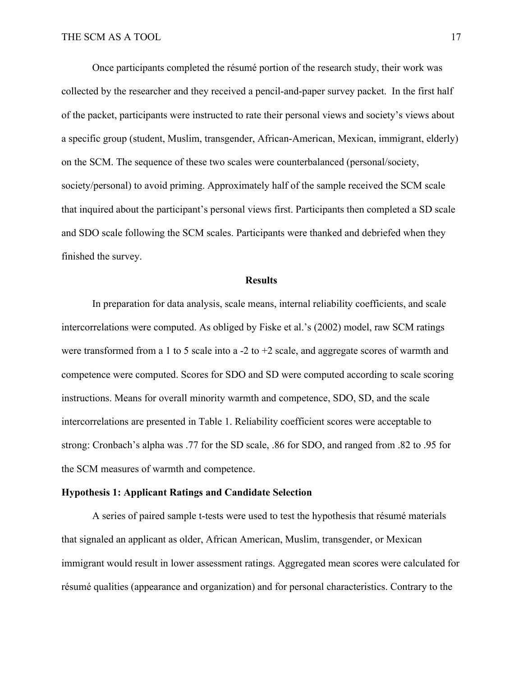Once participants completed the résumé portion of the research study, their work was collected by the researcher and they received a pencil-and-paper survey packet. In the first half of the packet, participants were instructed to rate their personal views and society's views about a specific group (student, Muslim, transgender, African-American, Mexican, immigrant, elderly) on the SCM. The sequence of these two scales were counterbalanced (personal/society, society/personal) to avoid priming. Approximately half of the sample received the SCM scale that inquired about the participant's personal views first. Participants then completed a SD scale and SDO scale following the SCM scales. Participants were thanked and debriefed when they finished the survey.

#### **Results**

In preparation for data analysis, scale means, internal reliability coefficients, and scale intercorrelations were computed. As obliged by Fiske et al.'s (2002) model, raw SCM ratings were transformed from a 1 to 5 scale into a -2 to +2 scale, and aggregate scores of warmth and competence were computed. Scores for SDO and SD were computed according to scale scoring instructions. Means for overall minority warmth and competence, SDO, SD, and the scale intercorrelations are presented in Table 1. Reliability coefficient scores were acceptable to strong: Cronbach's alpha was .77 for the SD scale, .86 for SDO, and ranged from .82 to .95 for the SCM measures of warmth and competence.

#### **Hypothesis 1: Applicant Ratings and Candidate Selection**

A series of paired sample t-tests were used to test the hypothesis that résumé materials that signaled an applicant as older, African American, Muslim, transgender, or Mexican immigrant would result in lower assessment ratings. Aggregated mean scores were calculated for résumé qualities (appearance and organization) and for personal characteristics. Contrary to the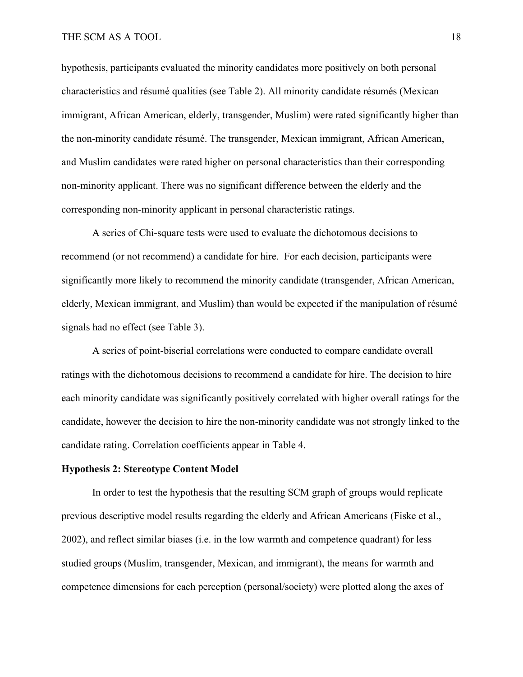hypothesis, participants evaluated the minority candidates more positively on both personal characteristics and résumé qualities (see Table 2). All minority candidate résumés (Mexican immigrant, African American, elderly, transgender, Muslim) were rated significantly higher than the non-minority candidate résumé. The transgender, Mexican immigrant, African American, and Muslim candidates were rated higher on personal characteristics than their corresponding non-minority applicant. There was no significant difference between the elderly and the corresponding non-minority applicant in personal characteristic ratings.

A series of Chi-square tests were used to evaluate the dichotomous decisions to recommend (or not recommend) a candidate for hire. For each decision, participants were significantly more likely to recommend the minority candidate (transgender, African American, elderly, Mexican immigrant, and Muslim) than would be expected if the manipulation of résumé signals had no effect (see Table 3).

A series of point-biserial correlations were conducted to compare candidate overall ratings with the dichotomous decisions to recommend a candidate for hire. The decision to hire each minority candidate was significantly positively correlated with higher overall ratings for the candidate, however the decision to hire the non-minority candidate was not strongly linked to the candidate rating. Correlation coefficients appear in Table 4.

#### **Hypothesis 2: Stereotype Content Model**

In order to test the hypothesis that the resulting SCM graph of groups would replicate previous descriptive model results regarding the elderly and African Americans (Fiske et al., 2002), and reflect similar biases (i.e. in the low warmth and competence quadrant) for less studied groups (Muslim, transgender, Mexican, and immigrant), the means for warmth and competence dimensions for each perception (personal/society) were plotted along the axes of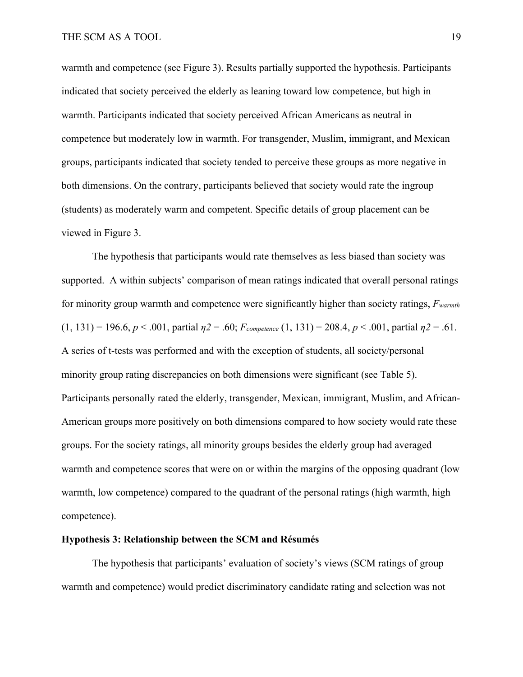warmth and competence (see Figure 3). Results partially supported the hypothesis. Participants indicated that society perceived the elderly as leaning toward low competence, but high in warmth. Participants indicated that society perceived African Americans as neutral in competence but moderately low in warmth. For transgender, Muslim, immigrant, and Mexican groups, participants indicated that society tended to perceive these groups as more negative in both dimensions. On the contrary, participants believed that society would rate the ingroup (students) as moderately warm and competent. Specific details of group placement can be viewed in Figure 3.

The hypothesis that participants would rate themselves as less biased than society was supported. A within subjects' comparison of mean ratings indicated that overall personal ratings for minority group warmth and competence were significantly higher than society ratings, *Fwarmth*  $(1, 131) = 196.6, p < .001$ , partial  $\eta_2 = .60$ ;  $F_{\text{complete}}(1, 131) = 208.4, p < .001$ , partial  $\eta_2 = .61$ . A series of t-tests was performed and with the exception of students, all society/personal minority group rating discrepancies on both dimensions were significant (see Table 5). Participants personally rated the elderly, transgender, Mexican, immigrant, Muslim, and African-American groups more positively on both dimensions compared to how society would rate these groups. For the society ratings, all minority groups besides the elderly group had averaged warmth and competence scores that were on or within the margins of the opposing quadrant (low warmth, low competence) compared to the quadrant of the personal ratings (high warmth, high competence).

### **Hypothesis 3: Relationship between the SCM and Résumés**

The hypothesis that participants' evaluation of society's views (SCM ratings of group warmth and competence) would predict discriminatory candidate rating and selection was not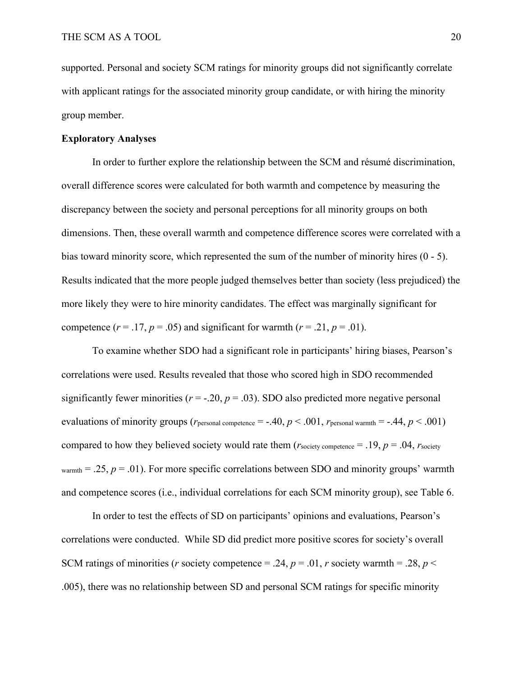supported. Personal and society SCM ratings for minority groups did not significantly correlate with applicant ratings for the associated minority group candidate, or with hiring the minority group member.

## **Exploratory Analyses**

In order to further explore the relationship between the SCM and résumé discrimination, overall difference scores were calculated for both warmth and competence by measuring the discrepancy between the society and personal perceptions for all minority groups on both dimensions. Then, these overall warmth and competence difference scores were correlated with a bias toward minority score, which represented the sum of the number of minority hires (0 - 5). Results indicated that the more people judged themselves better than society (less prejudiced) the more likely they were to hire minority candidates. The effect was marginally significant for competence  $(r = .17, p = .05)$  and significant for warmth  $(r = .21, p = .01)$ .

To examine whether SDO had a significant role in participants' hiring biases, Pearson's correlations were used. Results revealed that those who scored high in SDO recommended significantly fewer minorities ( $r = -.20$ ,  $p = .03$ ). SDO also predicted more negative personal evaluations of minority groups ( $r_{\text{personal competence}} = -.40, p < .001, r_{\text{personal warrant}} = -.44, p < .001)$ ) compared to how they believed society would rate them ( $r_{\text{society}}$  competence = .19,  $p = .04$ ,  $r_{\text{society}}$ )  $warmth = .25$ ,  $p = .01$ ). For more specific correlations between SDO and minority groups' warmth and competence scores (i.e., individual correlations for each SCM minority group), see Table 6.

In order to test the effects of SD on participants' opinions and evaluations, Pearson's correlations were conducted. While SD did predict more positive scores for society's overall SCM ratings of minorities (*r* society competence = .24,  $p = .01$ , *r* society warmth = .28,  $p <$ .005), there was no relationship between SD and personal SCM ratings for specific minority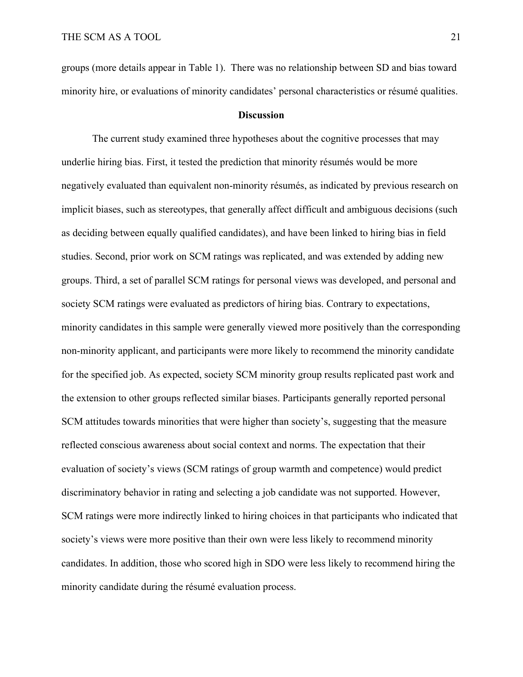groups (more details appear in Table 1). There was no relationship between SD and bias toward minority hire, or evaluations of minority candidates' personal characteristics or résumé qualities.

#### **Discussion**

The current study examined three hypotheses about the cognitive processes that may underlie hiring bias. First, it tested the prediction that minority résumés would be more negatively evaluated than equivalent non-minority résumés, as indicated by previous research on implicit biases, such as stereotypes, that generally affect difficult and ambiguous decisions (such as deciding between equally qualified candidates), and have been linked to hiring bias in field studies. Second, prior work on SCM ratings was replicated, and was extended by adding new groups. Third, a set of parallel SCM ratings for personal views was developed, and personal and society SCM ratings were evaluated as predictors of hiring bias. Contrary to expectations, minority candidates in this sample were generally viewed more positively than the corresponding non-minority applicant, and participants were more likely to recommend the minority candidate for the specified job. As expected, society SCM minority group results replicated past work and the extension to other groups reflected similar biases. Participants generally reported personal SCM attitudes towards minorities that were higher than society's, suggesting that the measure reflected conscious awareness about social context and norms. The expectation that their evaluation of society's views (SCM ratings of group warmth and competence) would predict discriminatory behavior in rating and selecting a job candidate was not supported. However, SCM ratings were more indirectly linked to hiring choices in that participants who indicated that society's views were more positive than their own were less likely to recommend minority candidates. In addition, those who scored high in SDO were less likely to recommend hiring the minority candidate during the résumé evaluation process.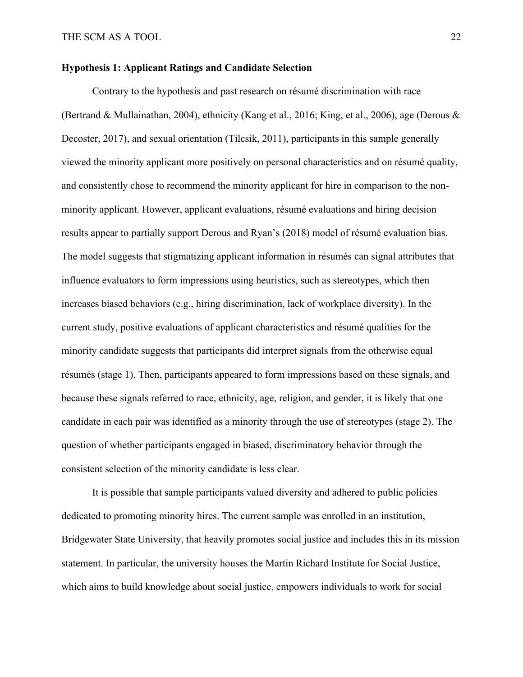## **Hypothesis 1: Applicant Ratings and Candidate Selection**

Contrary to the hypothesis and past research on résumé discrimination with race (Bertrand & Mullainathan, 2004), ethnicity (Kang et al., 2016; King, et al., 2006), age (Derous & Decoster, 2017), and sexual orientation (Tilcsik, 2011), participants in this sample generally viewed the minority applicant more positively on personal characteristics and on résumé quality, and consistently chose to recommend the minority applicant for hire in comparison to the nonminority applicant. However, applicant evaluations, résumé evaluations and hiring decision results appear to partially support Derous and Ryan's (2018) model of résumé evaluation bias. The model suggests that stigmatizing applicant information in résumés can signal attributes that influence evaluators to form impressions using heuristics, such as stereotypes, which then increases biased behaviors (e.g., hiring discrimination, lack of workplace diversity). In the current study, positive evaluations of applicant characteristics and résumé qualities for the minority candidate suggests that participants did interpret signals from the otherwise equal résumés (stage 1). Then, participants appeared to form impressions based on these signals, and because these signals referred to race, ethnicity, age, religion, and gender, it is likely that one candidate in each pair was identified as a minority through the use of stereotypes (stage 2). The question of whether participants engaged in biased, discriminatory behavior through the consistent selection of the minority candidate is less clear.

It is possible that sample participants valued diversity and adhered to public policies dedicated to promoting minority hires. The current sample was enrolled in an institution, Bridgewater State University, that heavily promotes social justice and includes this in its mission statement. In particular, the university houses the Martin Richard Institute for Social Justice, which aims to build knowledge about social justice, empowers individuals to work for social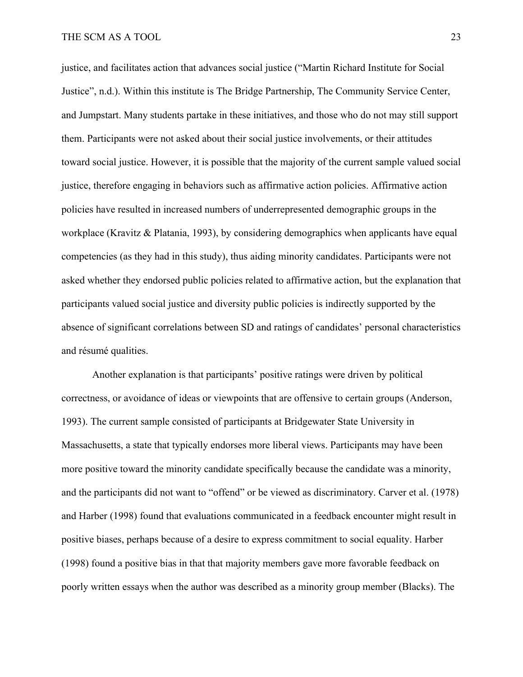justice, and facilitates action that advances social justice ("Martin Richard Institute for Social Justice", n.d.). Within this institute is The Bridge Partnership, The Community Service Center, and Jumpstart. Many students partake in these initiatives, and those who do not may still support them. Participants were not asked about their social justice involvements, or their attitudes toward social justice. However, it is possible that the majority of the current sample valued social justice, therefore engaging in behaviors such as affirmative action policies. Affirmative action policies have resulted in increased numbers of underrepresented demographic groups in the workplace (Kravitz & Platania, 1993), by considering demographics when applicants have equal competencies (as they had in this study), thus aiding minority candidates. Participants were not asked whether they endorsed public policies related to affirmative action, but the explanation that participants valued social justice and diversity public policies is indirectly supported by the absence of significant correlations between SD and ratings of candidates' personal characteristics and résumé qualities.

Another explanation is that participants' positive ratings were driven by political correctness, or avoidance of ideas or viewpoints that are offensive to certain groups (Anderson, 1993). The current sample consisted of participants at Bridgewater State University in Massachusetts, a state that typically endorses more liberal views. Participants may have been more positive toward the minority candidate specifically because the candidate was a minority, and the participants did not want to "offend" or be viewed as discriminatory. Carver et al. (1978) and Harber (1998) found that evaluations communicated in a feedback encounter might result in positive biases, perhaps because of a desire to express commitment to social equality. Harber (1998) found a positive bias in that that majority members gave more favorable feedback on poorly written essays when the author was described as a minority group member (Blacks). The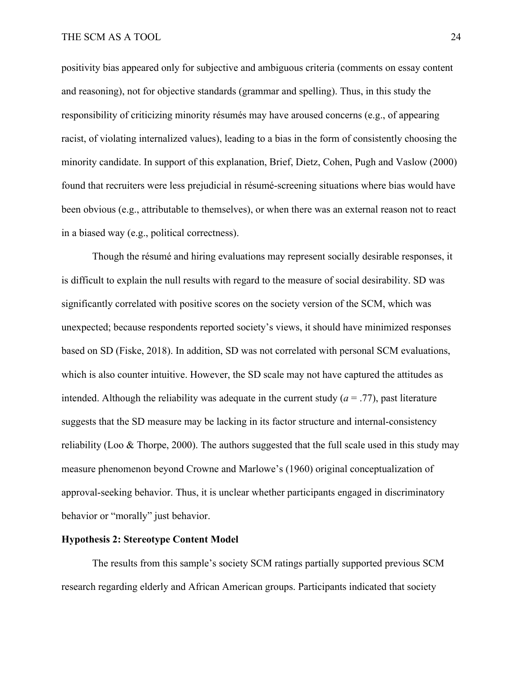positivity bias appeared only for subjective and ambiguous criteria (comments on essay content and reasoning), not for objective standards (grammar and spelling). Thus, in this study the responsibility of criticizing minority résumés may have aroused concerns (e.g., of appearing racist, of violating internalized values), leading to a bias in the form of consistently choosing the minority candidate. In support of this explanation, Brief, Dietz, Cohen, Pugh and Vaslow (2000) found that recruiters were less prejudicial in résumé-screening situations where bias would have been obvious (e.g., attributable to themselves), or when there was an external reason not to react in a biased way (e.g., political correctness).

Though the résumé and hiring evaluations may represent socially desirable responses, it is difficult to explain the null results with regard to the measure of social desirability. SD was significantly correlated with positive scores on the society version of the SCM, which was unexpected; because respondents reported society's views, it should have minimized responses based on SD (Fiske, 2018). In addition, SD was not correlated with personal SCM evaluations, which is also counter intuitive. However, the SD scale may not have captured the attitudes as intended. Although the reliability was adequate in the current study  $(a = .77)$ , past literature suggests that the SD measure may be lacking in its factor structure and internal-consistency reliability (Loo & Thorpe, 2000). The authors suggested that the full scale used in this study may measure phenomenon beyond Crowne and Marlowe's (1960) original conceptualization of approval-seeking behavior. Thus, it is unclear whether participants engaged in discriminatory behavior or "morally" just behavior.

#### **Hypothesis 2: Stereotype Content Model**

The results from this sample's society SCM ratings partially supported previous SCM research regarding elderly and African American groups. Participants indicated that society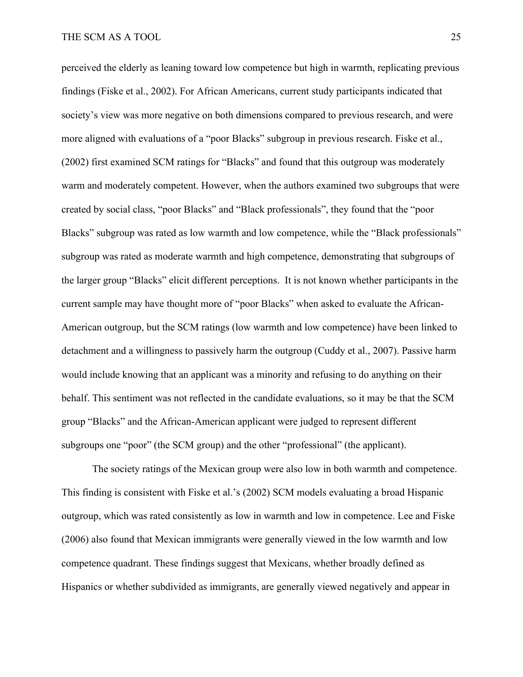perceived the elderly as leaning toward low competence but high in warmth, replicating previous findings (Fiske et al., 2002). For African Americans, current study participants indicated that society's view was more negative on both dimensions compared to previous research, and were more aligned with evaluations of a "poor Blacks" subgroup in previous research. Fiske et al., (2002) first examined SCM ratings for "Blacks" and found that this outgroup was moderately warm and moderately competent. However, when the authors examined two subgroups that were created by social class, "poor Blacks" and "Black professionals", they found that the "poor Blacks" subgroup was rated as low warmth and low competence, while the "Black professionals" subgroup was rated as moderate warmth and high competence, demonstrating that subgroups of the larger group "Blacks" elicit different perceptions. It is not known whether participants in the current sample may have thought more of "poor Blacks" when asked to evaluate the African-American outgroup, but the SCM ratings (low warmth and low competence) have been linked to detachment and a willingness to passively harm the outgroup (Cuddy et al., 2007). Passive harm would include knowing that an applicant was a minority and refusing to do anything on their behalf. This sentiment was not reflected in the candidate evaluations, so it may be that the SCM group "Blacks" and the African-American applicant were judged to represent different subgroups one "poor" (the SCM group) and the other "professional" (the applicant).

The society ratings of the Mexican group were also low in both warmth and competence. This finding is consistent with Fiske et al.'s (2002) SCM models evaluating a broad Hispanic outgroup, which was rated consistently as low in warmth and low in competence. Lee and Fiske (2006) also found that Mexican immigrants were generally viewed in the low warmth and low competence quadrant. These findings suggest that Mexicans, whether broadly defined as Hispanics or whether subdivided as immigrants, are generally viewed negatively and appear in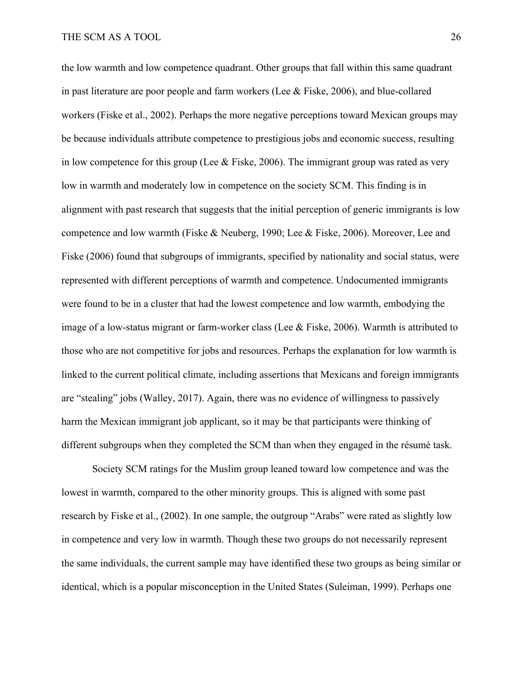the low warmth and low competence quadrant. Other groups that fall within this same quadrant in past literature are poor people and farm workers (Lee & Fiske, 2006), and blue-collared workers (Fiske et al., 2002). Perhaps the more negative perceptions toward Mexican groups may be because individuals attribute competence to prestigious jobs and economic success, resulting in low competence for this group (Lee & Fiske, 2006). The immigrant group was rated as very low in warmth and moderately low in competence on the society SCM. This finding is in alignment with past research that suggests that the initial perception of generic immigrants is low competence and low warmth (Fiske & Neuberg, 1990; Lee & Fiske, 2006). Moreover, Lee and Fiske (2006) found that subgroups of immigrants, specified by nationality and social status, were represented with different perceptions of warmth and competence. Undocumented immigrants were found to be in a cluster that had the lowest competence and low warmth, embodying the image of a low-status migrant or farm-worker class (Lee  $\&$  Fiske, 2006). Warmth is attributed to those who are not competitive for jobs and resources. Perhaps the explanation for low warmth is linked to the current political climate, including assertions that Mexicans and foreign immigrants are "stealing" jobs (Walley, 2017). Again, there was no evidence of willingness to passively harm the Mexican immigrant job applicant, so it may be that participants were thinking of different subgroups when they completed the SCM than when they engaged in the résumé task.

Society SCM ratings for the Muslim group leaned toward low competence and was the lowest in warmth, compared to the other minority groups. This is aligned with some past research by Fiske et al., (2002). In one sample, the outgroup "Arabs" were rated as slightly low in competence and very low in warmth. Though these two groups do not necessarily represent the same individuals, the current sample may have identified these two groups as being similar or identical, which is a popular misconception in the United States (Suleiman, 1999). Perhaps one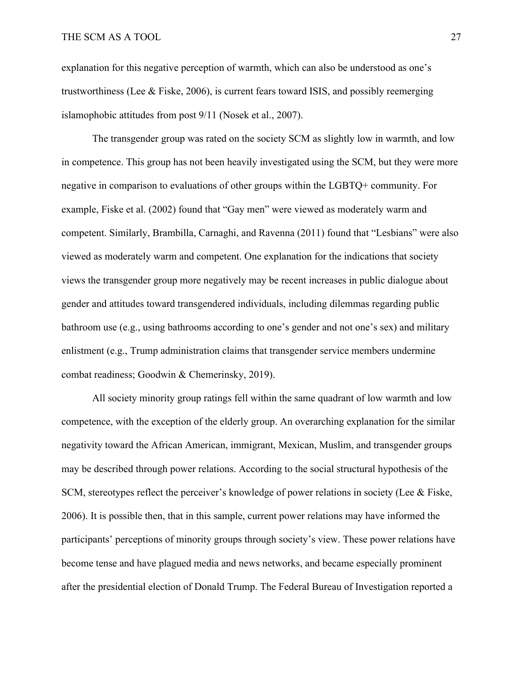explanation for this negative perception of warmth, which can also be understood as one's trustworthiness (Lee & Fiske, 2006), is current fears toward ISIS, and possibly reemerging islamophobic attitudes from post 9/11 (Nosek et al., 2007).

The transgender group was rated on the society SCM as slightly low in warmth, and low in competence. This group has not been heavily investigated using the SCM, but they were more negative in comparison to evaluations of other groups within the LGBTQ+ community. For example, Fiske et al. (2002) found that "Gay men" were viewed as moderately warm and competent. Similarly, Brambilla, Carnaghi, and Ravenna (2011) found that "Lesbians" were also viewed as moderately warm and competent. One explanation for the indications that society views the transgender group more negatively may be recent increases in public dialogue about gender and attitudes toward transgendered individuals, including dilemmas regarding public bathroom use (e.g., using bathrooms according to one's gender and not one's sex) and military enlistment (e.g., Trump administration claims that transgender service members undermine combat readiness; Goodwin & Chemerinsky, 2019).

All society minority group ratings fell within the same quadrant of low warmth and low competence, with the exception of the elderly group. An overarching explanation for the similar negativity toward the African American, immigrant, Mexican, Muslim, and transgender groups may be described through power relations. According to the social structural hypothesis of the SCM, stereotypes reflect the perceiver's knowledge of power relations in society (Lee & Fiske, 2006). It is possible then, that in this sample, current power relations may have informed the participants' perceptions of minority groups through society's view. These power relations have become tense and have plagued media and news networks, and became especially prominent after the presidential election of Donald Trump. The Federal Bureau of Investigation reported a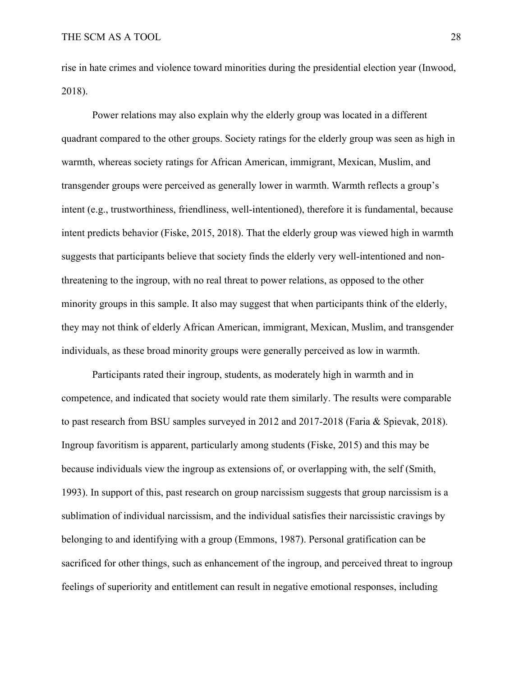rise in hate crimes and violence toward minorities during the presidential election year (Inwood, 2018).

Power relations may also explain why the elderly group was located in a different quadrant compared to the other groups. Society ratings for the elderly group was seen as high in warmth, whereas society ratings for African American, immigrant, Mexican, Muslim, and transgender groups were perceived as generally lower in warmth. Warmth reflects a group's intent (e.g., trustworthiness, friendliness, well-intentioned), therefore it is fundamental, because intent predicts behavior (Fiske, 2015, 2018). That the elderly group was viewed high in warmth suggests that participants believe that society finds the elderly very well-intentioned and nonthreatening to the ingroup, with no real threat to power relations, as opposed to the other minority groups in this sample. It also may suggest that when participants think of the elderly, they may not think of elderly African American, immigrant, Mexican, Muslim, and transgender individuals, as these broad minority groups were generally perceived as low in warmth.

Participants rated their ingroup, students, as moderately high in warmth and in competence, and indicated that society would rate them similarly. The results were comparable to past research from BSU samples surveyed in 2012 and 2017-2018 (Faria & Spievak, 2018). Ingroup favoritism is apparent, particularly among students (Fiske, 2015) and this may be because individuals view the ingroup as extensions of, or overlapping with, the self (Smith, 1993). In support of this, past research on group narcissism suggests that group narcissism is a sublimation of individual narcissism, and the individual satisfies their narcissistic cravings by belonging to and identifying with a group (Emmons, 1987). Personal gratification can be sacrificed for other things, such as enhancement of the ingroup, and perceived threat to ingroup feelings of superiority and entitlement can result in negative emotional responses, including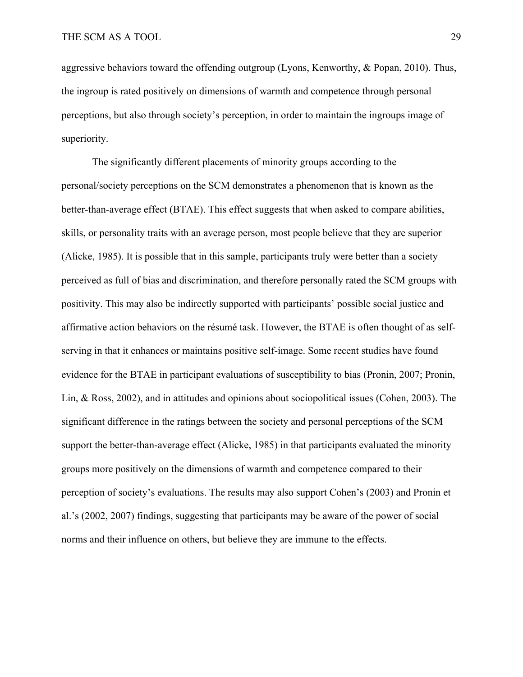aggressive behaviors toward the offending outgroup (Lyons, Kenworthy, & Popan, 2010). Thus, the ingroup is rated positively on dimensions of warmth and competence through personal perceptions, but also through society's perception, in order to maintain the ingroups image of superiority.

The significantly different placements of minority groups according to the personal/society perceptions on the SCM demonstrates a phenomenon that is known as the better-than-average effect (BTAE). This effect suggests that when asked to compare abilities, skills, or personality traits with an average person, most people believe that they are superior (Alicke, 1985). It is possible that in this sample, participants truly were better than a society perceived as full of bias and discrimination, and therefore personally rated the SCM groups with positivity. This may also be indirectly supported with participants' possible social justice and affirmative action behaviors on the résumé task. However, the BTAE is often thought of as selfserving in that it enhances or maintains positive self-image. Some recent studies have found evidence for the BTAE in participant evaluations of susceptibility to bias (Pronin, 2007; Pronin, Lin, & Ross, 2002), and in attitudes and opinions about sociopolitical issues (Cohen, 2003). The significant difference in the ratings between the society and personal perceptions of the SCM support the better-than-average effect (Alicke, 1985) in that participants evaluated the minority groups more positively on the dimensions of warmth and competence compared to their perception of society's evaluations. The results may also support Cohen's (2003) and Pronin et al.'s (2002, 2007) findings, suggesting that participants may be aware of the power of social norms and their influence on others, but believe they are immune to the effects.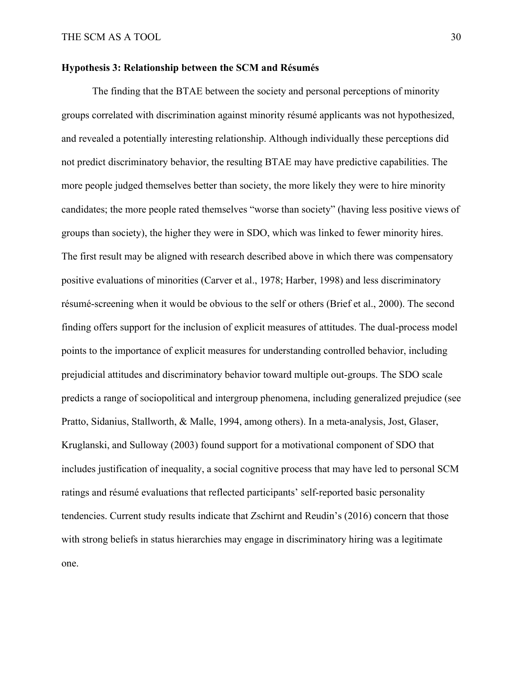#### **Hypothesis 3: Relationship between the SCM and Résumés**

The finding that the BTAE between the society and personal perceptions of minority groups correlated with discrimination against minority résumé applicants was not hypothesized, and revealed a potentially interesting relationship. Although individually these perceptions did not predict discriminatory behavior, the resulting BTAE may have predictive capabilities. The more people judged themselves better than society, the more likely they were to hire minority candidates; the more people rated themselves "worse than society" (having less positive views of groups than society), the higher they were in SDO, which was linked to fewer minority hires. The first result may be aligned with research described above in which there was compensatory positive evaluations of minorities (Carver et al., 1978; Harber, 1998) and less discriminatory résumé-screening when it would be obvious to the self or others (Brief et al., 2000). The second finding offers support for the inclusion of explicit measures of attitudes. The dual-process model points to the importance of explicit measures for understanding controlled behavior, including prejudicial attitudes and discriminatory behavior toward multiple out-groups. The SDO scale predicts a range of sociopolitical and intergroup phenomena, including generalized prejudice (see Pratto, Sidanius, Stallworth, & Malle, 1994, among others). In a meta-analysis, Jost, Glaser, Kruglanski, and Sulloway (2003) found support for a motivational component of SDO that includes justification of inequality, a social cognitive process that may have led to personal SCM ratings and résumé evaluations that reflected participants' self-reported basic personality tendencies. Current study results indicate that Zschirnt and Reudin's (2016) concern that those with strong beliefs in status hierarchies may engage in discriminatory hiring was a legitimate one.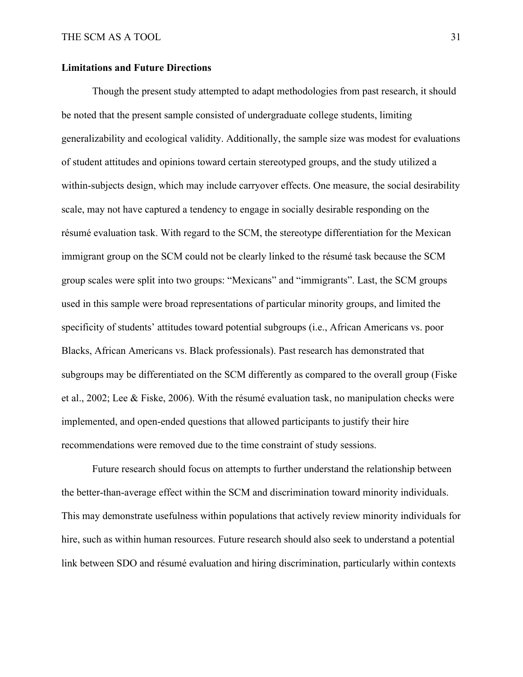## **Limitations and Future Directions**

Though the present study attempted to adapt methodologies from past research, it should be noted that the present sample consisted of undergraduate college students, limiting generalizability and ecological validity. Additionally, the sample size was modest for evaluations of student attitudes and opinions toward certain stereotyped groups, and the study utilized a within-subjects design, which may include carryover effects. One measure, the social desirability scale, may not have captured a tendency to engage in socially desirable responding on the résumé evaluation task. With regard to the SCM, the stereotype differentiation for the Mexican immigrant group on the SCM could not be clearly linked to the résumé task because the SCM group scales were split into two groups: "Mexicans" and "immigrants". Last, the SCM groups used in this sample were broad representations of particular minority groups, and limited the specificity of students' attitudes toward potential subgroups (i.e., African Americans vs. poor Blacks, African Americans vs. Black professionals). Past research has demonstrated that subgroups may be differentiated on the SCM differently as compared to the overall group (Fiske et al., 2002; Lee & Fiske, 2006). With the résumé evaluation task, no manipulation checks were implemented, and open-ended questions that allowed participants to justify their hire recommendations were removed due to the time constraint of study sessions.

Future research should focus on attempts to further understand the relationship between the better-than-average effect within the SCM and discrimination toward minority individuals. This may demonstrate usefulness within populations that actively review minority individuals for hire, such as within human resources. Future research should also seek to understand a potential link between SDO and résumé evaluation and hiring discrimination, particularly within contexts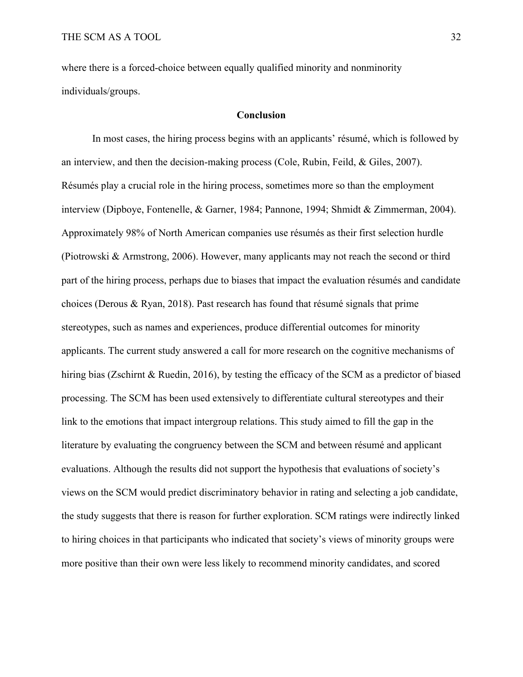where there is a forced-choice between equally qualified minority and nonminority individuals/groups.

#### **Conclusion**

In most cases, the hiring process begins with an applicants' résumé, which is followed by an interview, and then the decision-making process (Cole, Rubin, Feild, & Giles, 2007). Résumés play a crucial role in the hiring process, sometimes more so than the employment interview (Dipboye, Fontenelle, & Garner, 1984; Pannone, 1994; Shmidt & Zimmerman, 2004). Approximately 98% of North American companies use résumés as their first selection hurdle (Piotrowski & Armstrong, 2006). However, many applicants may not reach the second or third part of the hiring process, perhaps due to biases that impact the evaluation résumés and candidate choices (Derous & Ryan, 2018). Past research has found that résumé signals that prime stereotypes, such as names and experiences, produce differential outcomes for minority applicants. The current study answered a call for more research on the cognitive mechanisms of hiring bias (Zschirnt & Ruedin, 2016), by testing the efficacy of the SCM as a predictor of biased processing. The SCM has been used extensively to differentiate cultural stereotypes and their link to the emotions that impact intergroup relations. This study aimed to fill the gap in the literature by evaluating the congruency between the SCM and between résumé and applicant evaluations. Although the results did not support the hypothesis that evaluations of society's views on the SCM would predict discriminatory behavior in rating and selecting a job candidate, the study suggests that there is reason for further exploration. SCM ratings were indirectly linked to hiring choices in that participants who indicated that society's views of minority groups were more positive than their own were less likely to recommend minority candidates, and scored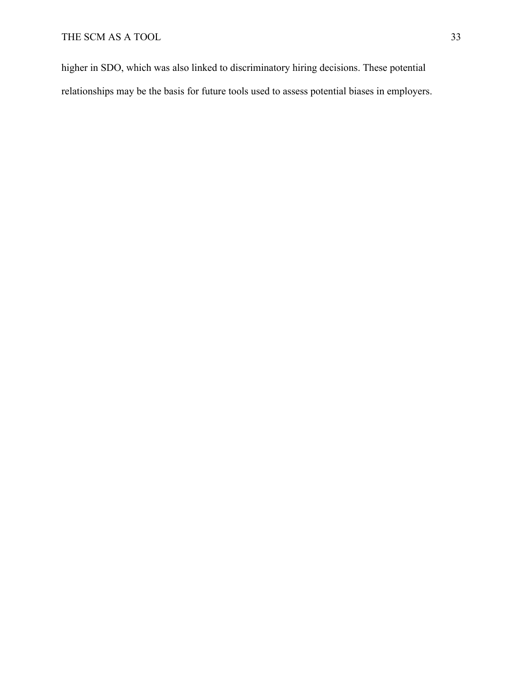higher in SDO, which was also linked to discriminatory hiring decisions. These potential relationships may be the basis for future tools used to assess potential biases in employers.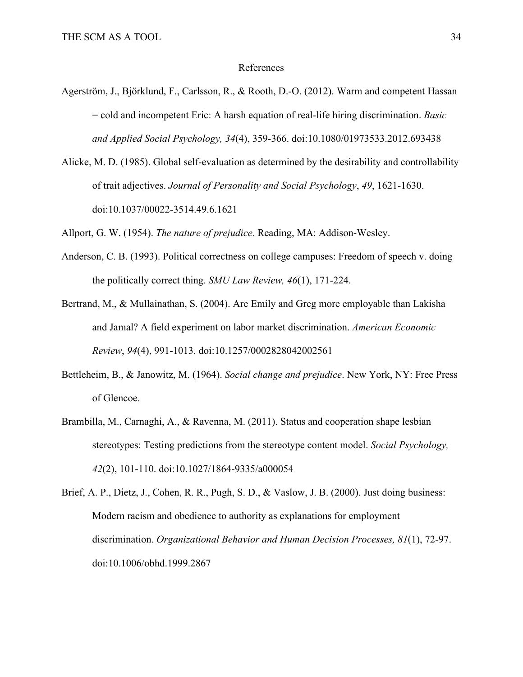#### References

- Agerström, J., Björklund, F., Carlsson, R., & Rooth, D.-O. (2012). Warm and competent Hassan = cold and incompetent Eric: A harsh equation of real-life hiring discrimination. *Basic and Applied Social Psychology, 34*(4), 359-366. doi:10.1080/01973533.2012.693438
- Alicke, M. D. (1985). Global self-evaluation as determined by the desirability and controllability of trait adjectives. *Journal of Personality and Social Psychology*, *49*, 1621-1630. doi:10.1037/00022-3514.49.6.1621

Allport, G. W. (1954). *The nature of prejudice*. Reading, MA: Addison-Wesley.

Anderson, C. B. (1993). Political correctness on college campuses: Freedom of speech v. doing the politically correct thing. *SMU Law Review, 46*(1), 171-224.

Bertrand, M., & Mullainathan, S. (2004). Are Emily and Greg more employable than Lakisha and Jamal? A field experiment on labor market discrimination. *American Economic Review*, *94*(4), 991-1013. doi:10.1257/0002828042002561

- Bettleheim, B., & Janowitz, M. (1964). *Social change and prejudice*. New York, NY: Free Press of Glencoe.
- Brambilla, M., Carnaghi, A., & Ravenna, M. (2011). Status and cooperation shape lesbian stereotypes: Testing predictions from the stereotype content model. *Social Psychology, 42*(2), 101-110. doi:10.1027/1864-9335/a000054

Brief, A. P., Dietz, J., Cohen, R. R., Pugh, S. D., & Vaslow, J. B. (2000). Just doing business: Modern racism and obedience to authority as explanations for employment discrimination. *Organizational Behavior and Human Decision Processes, 81*(1), 72-97. doi:10.1006/obhd.1999.2867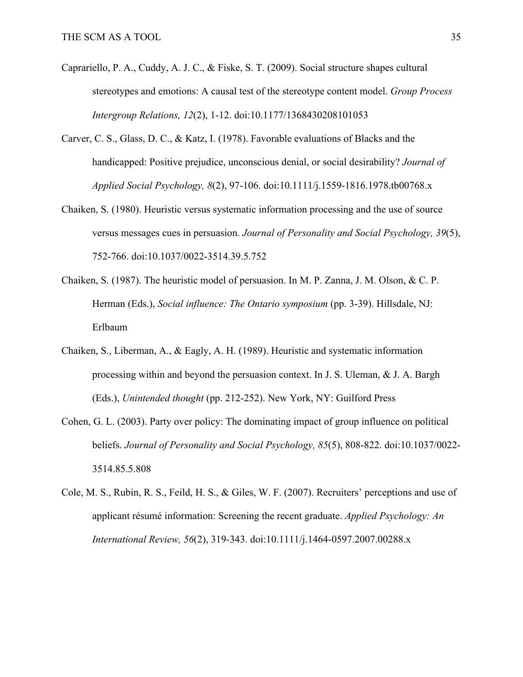- Caprariello, P. A., Cuddy, A. J. C., & Fiske, S. T. (2009). Social structure shapes cultural stereotypes and emotions: A causal test of the stereotype content model. *Group Process Intergroup Relations, 12*(2), 1-12. doi:10.1177/1368430208101053
- Carver, C. S., Glass, D. C., & Katz, I. (1978). Favorable evaluations of Blacks and the handicapped: Positive prejudice, unconscious denial, or social desirability? *Journal of Applied Social Psychology, 8*(2), 97-106. doi:10.1111/j.1559-1816.1978.tb00768.x
- Chaiken, S. (1980). Heuristic versus systematic information processing and the use of source versus messages cues in persuasion. *Journal of Personality and Social Psychology, 39*(5), 752-766. doi:10.1037/0022-3514.39.5.752
- Chaiken, S. (1987). The heuristic model of persuasion. In M. P. Zanna, J. M. Olson, & C. P. Herman (Eds.), *Social influence: The Ontario symposium* (pp. 3-39). Hillsdale, NJ: Erlbaum
- Chaiken, S., Liberman, A., & Eagly, A. H. (1989). Heuristic and systematic information processing within and beyond the persuasion context. In J. S. Uleman, & J. A. Bargh (Eds.), *Unintended thought* (pp. 212-252). New York, NY: Guilford Press
- Cohen, G. L. (2003). Party over policy: The dominating impact of group influence on political beliefs. *Journal of Personality and Social Psychology, 85*(5), 808-822. doi:10.1037/0022- 3514.85.5.808
- Cole, M. S., Rubin, R. S., Feild, H. S., & Giles, W. F. (2007). Recruiters' perceptions and use of applicant résumé information: Screening the recent graduate. *Applied Psychology: An International Review, 56*(2), 319-343. doi:10.1111/j.1464-0597.2007.00288.x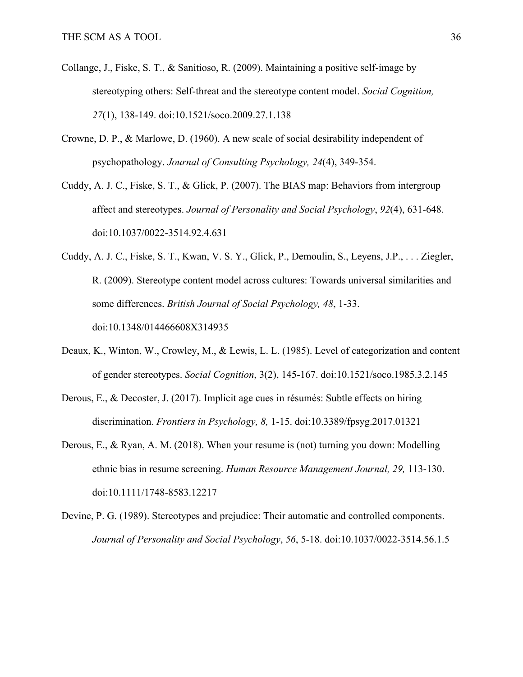- Collange, J., Fiske, S. T., & Sanitioso, R. (2009). Maintaining a positive self-image by stereotyping others: Self-threat and the stereotype content model. *Social Cognition, 27*(1), 138-149. doi:10.1521/soco.2009.27.1.138
- Crowne, D. P., & Marlowe, D. (1960). A new scale of social desirability independent of psychopathology. *Journal of Consulting Psychology, 24*(4), 349-354.
- Cuddy, A. J. C., Fiske, S. T., & Glick, P. (2007). The BIAS map: Behaviors from intergroup affect and stereotypes. *Journal of Personality and Social Psychology*, *92*(4), 631-648. doi:10.1037/0022-3514.92.4.631
- Cuddy, A. J. C., Fiske, S. T., Kwan, V. S. Y., Glick, P., Demoulin, S., Leyens, J.P., . . . Ziegler, R. (2009). Stereotype content model across cultures: Towards universal similarities and some differences. *British Journal of Social Psychology, 48*, 1-33. doi:10.1348/014466608X314935
- Deaux, K., Winton, W., Crowley, M., & Lewis, L. L. (1985). Level of categorization and content of gender stereotypes. *Social Cognition*, 3(2), 145-167. doi:10.1521/soco.1985.3.2.145
- Derous, E., & Decoster, J. (2017). Implicit age cues in résumés: Subtle effects on hiring discrimination. *Frontiers in Psychology, 8,* 1-15. doi:10.3389/fpsyg.2017.01321
- Derous, E., & Ryan, A. M. (2018). When your resume is (not) turning you down: Modelling ethnic bias in resume screening. *Human Resource Management Journal, 29,* 113-130. doi:10.1111/1748-8583.12217
- Devine, P. G. (1989). Stereotypes and prejudice: Their automatic and controlled components. *Journal of Personality and Social Psychology*, *56*, 5-18. doi:10.1037/0022-3514.56.1.5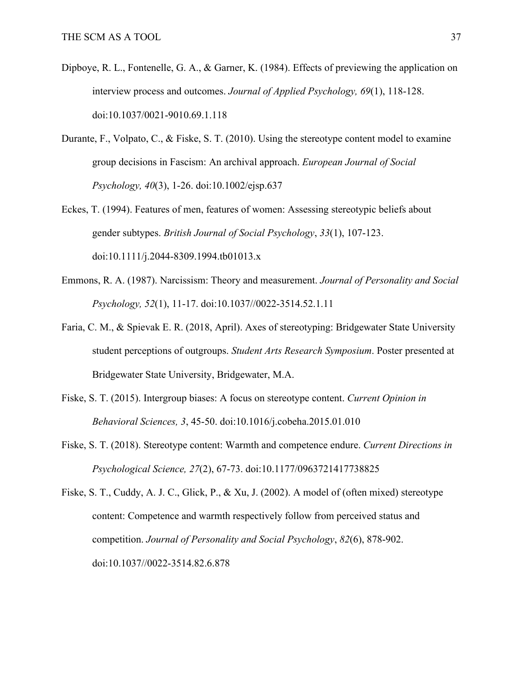- Dipboye, R. L., Fontenelle, G. A., & Garner, K. (1984). Effects of previewing the application on interview process and outcomes. *Journal of Applied Psychology, 69*(1), 118-128. doi:10.1037/0021-9010.69.1.118
- Durante, F., Volpato, C., & Fiske, S. T. (2010). Using the stereotype content model to examine group decisions in Fascism: An archival approach. *European Journal of Social Psychology, 40*(3), 1-26. doi:10.1002/ejsp.637
- Eckes, T. (1994). Features of men, features of women: Assessing stereotypic beliefs about gender subtypes. *British Journal of Social Psychology*, *33*(1), 107-123. doi:10.1111/j.2044-8309.1994.tb01013.x
- Emmons, R. A. (1987). Narcissism: Theory and measurement. *Journal of Personality and Social Psychology, 52*(1), 11-17. doi:10.1037//0022-3514.52.1.11
- Faria, C. M., & Spievak E. R. (2018, April). Axes of stereotyping: Bridgewater State University student perceptions of outgroups. *Student Arts Research Symposium*. Poster presented at Bridgewater State University, Bridgewater, M.A.
- Fiske, S. T. (2015). Intergroup biases: A focus on stereotype content. *Current Opinion in Behavioral Sciences, 3*, 45-50. doi:10.1016/j.cobeha.2015.01.010
- Fiske, S. T. (2018). Stereotype content: Warmth and competence endure. *Current Directions in Psychological Science, 27*(2), 67-73. doi:10.1177/0963721417738825

Fiske, S. T., Cuddy, A. J. C., Glick, P., & Xu, J. (2002). A model of (often mixed) stereotype content: Competence and warmth respectively follow from perceived status and competition. *Journal of Personality and Social Psychology*, *82*(6), 878-902. doi:10.1037//0022-3514.82.6.878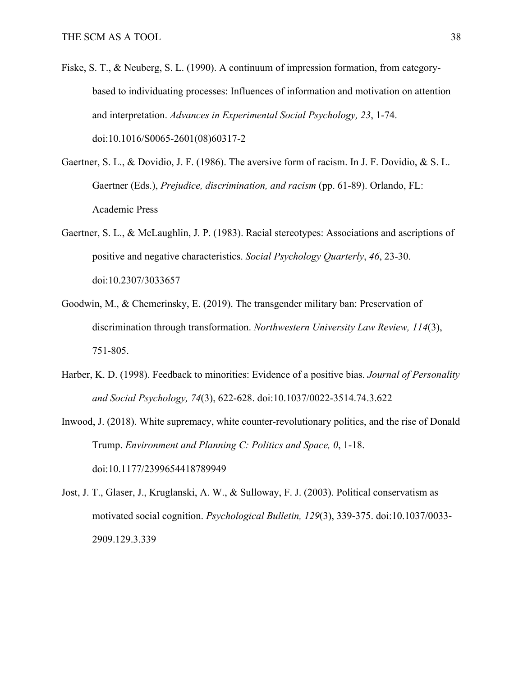- Fiske, S. T., & Neuberg, S. L. (1990). A continuum of impression formation, from categorybased to individuating processes: Influences of information and motivation on attention and interpretation. *Advances in Experimental Social Psychology, 23*, 1-74. doi:10.1016/S0065-2601(08)60317-2
- Gaertner, S. L., & Dovidio, J. F. (1986). The aversive form of racism. In J. F. Dovidio, & S. L. Gaertner (Eds.), *Prejudice, discrimination, and racism* (pp. 61-89). Orlando, FL: Academic Press
- Gaertner, S. L., & McLaughlin, J. P. (1983). Racial stereotypes: Associations and ascriptions of positive and negative characteristics. *Social Psychology Quarterly*, *46*, 23-30. doi:10.2307/3033657
- Goodwin, M., & Chemerinsky, E. (2019). The transgender military ban: Preservation of discrimination through transformation. *Northwestern University Law Review, 114*(3), 751-805.
- Harber, K. D. (1998). Feedback to minorities: Evidence of a positive bias. *Journal of Personality and Social Psychology, 74*(3), 622-628. doi:10.1037/0022-3514.74.3.622
- Inwood, J. (2018). White supremacy, white counter-revolutionary politics, and the rise of Donald Trump. *Environment and Planning C: Politics and Space, 0*, 1-18. doi:10.1177/2399654418789949
- Jost, J. T., Glaser, J., Kruglanski, A. W., & Sulloway, F. J. (2003). Political conservatism as motivated social cognition. *Psychological Bulletin, 129*(3), 339-375. doi:10.1037/0033- 2909.129.3.339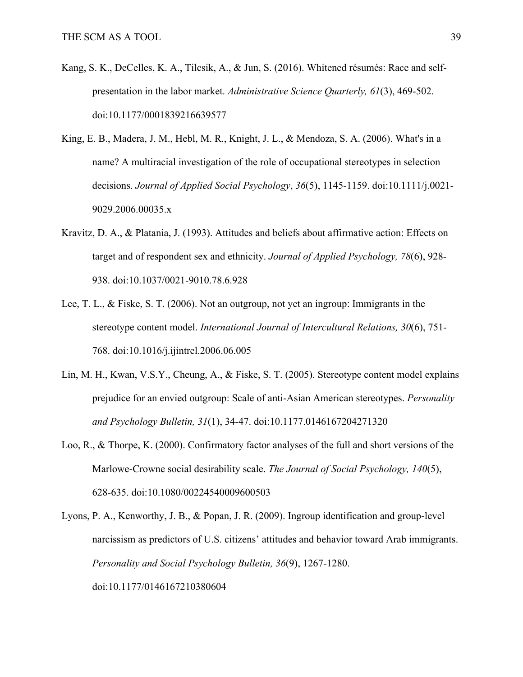- Kang, S. K., DeCelles, K. A., Tilcsik, A., & Jun, S. (2016). Whitened résumés: Race and selfpresentation in the labor market. *Administrative Science Quarterly, 61*(3), 469-502. doi:10.1177/0001839216639577
- King, E. B., Madera, J. M., Hebl, M. R., Knight, J. L., & Mendoza, S. A. (2006). What's in a name? A multiracial investigation of the role of occupational stereotypes in selection decisions. *Journal of Applied Social Psychology*, *36*(5), 1145-1159. doi:10.1111/j.0021- 9029.2006.00035.x
- Kravitz, D. A., & Platania, J. (1993). Attitudes and beliefs about affirmative action: Effects on target and of respondent sex and ethnicity. *Journal of Applied Psychology, 78*(6), 928- 938. doi:10.1037/0021-9010.78.6.928
- Lee, T. L., & Fiske, S. T. (2006). Not an outgroup, not yet an ingroup: Immigrants in the stereotype content model. *International Journal of Intercultural Relations, 30*(6), 751- 768. doi:10.1016/j.ijintrel.2006.06.005
- Lin, M. H., Kwan, V.S.Y., Cheung, A., & Fiske, S. T. (2005). Stereotype content model explains prejudice for an envied outgroup: Scale of anti-Asian American stereotypes. *Personality and Psychology Bulletin, 31*(1), 34-47. doi:10.1177.0146167204271320
- Loo, R., & Thorpe, K. (2000). Confirmatory factor analyses of the full and short versions of the Marlowe-Crowne social desirability scale. *The Journal of Social Psychology, 140*(5), 628-635. doi:10.1080/00224540009600503
- Lyons, P. A., Kenworthy, J. B., & Popan, J. R. (2009). Ingroup identification and group-level narcissism as predictors of U.S. citizens' attitudes and behavior toward Arab immigrants. *Personality and Social Psychology Bulletin, 36*(9), 1267-1280. doi:10.1177/0146167210380604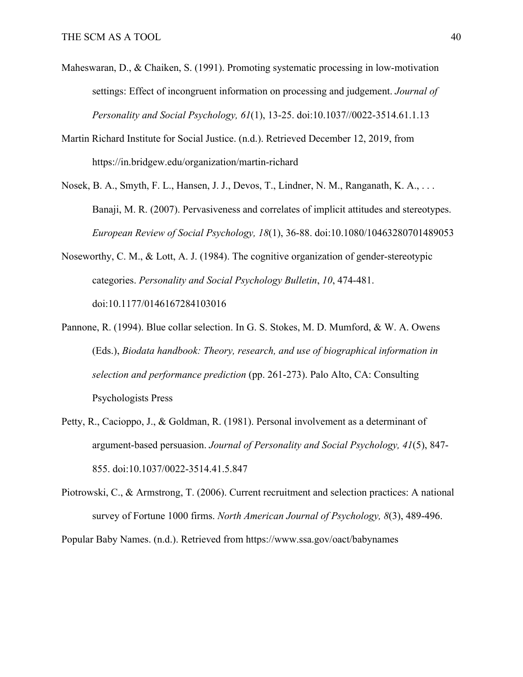- Maheswaran, D., & Chaiken, S. (1991). Promoting systematic processing in low-motivation settings: Effect of incongruent information on processing and judgement. *Journal of Personality and Social Psychology, 61*(1), 13-25. doi:10.1037//0022-3514.61.1.13
- Martin Richard Institute for Social Justice. (n.d.). Retrieved December 12, 2019, from https://in.bridgew.edu/organization/martin-richard
- Nosek, B. A., Smyth, F. L., Hansen, J. J., Devos, T., Lindner, N. M., Ranganath, K. A., . . . Banaji, M. R. (2007). Pervasiveness and correlates of implicit attitudes and stereotypes. *European Review of Social Psychology, 18*(1), 36-88. doi:10.1080/10463280701489053
- Noseworthy, C. M., & Lott, A. J. (1984). The cognitive organization of gender-stereotypic categories. *Personality and Social Psychology Bulletin*, *10*, 474-481. doi:10.1177/0146167284103016
- Pannone, R. (1994). Blue collar selection. In G. S. Stokes, M. D. Mumford, & W. A. Owens (Eds.), *Biodata handbook: Theory, research, and use of biographical information in selection and performance prediction* (pp. 261-273). Palo Alto, CA: Consulting Psychologists Press
- Petty, R., Cacioppo, J., & Goldman, R. (1981). Personal involvement as a determinant of argument-based persuasion. *Journal of Personality and Social Psychology, 41*(5), 847- 855. doi:10.1037/0022-3514.41.5.847
- Piotrowski, C., & Armstrong, T. (2006). Current recruitment and selection practices: A national survey of Fortune 1000 firms. *North American Journal of Psychology, 8*(3), 489-496.

Popular Baby Names. (n.d.). Retrieved from https://www.ssa.gov/oact/babynames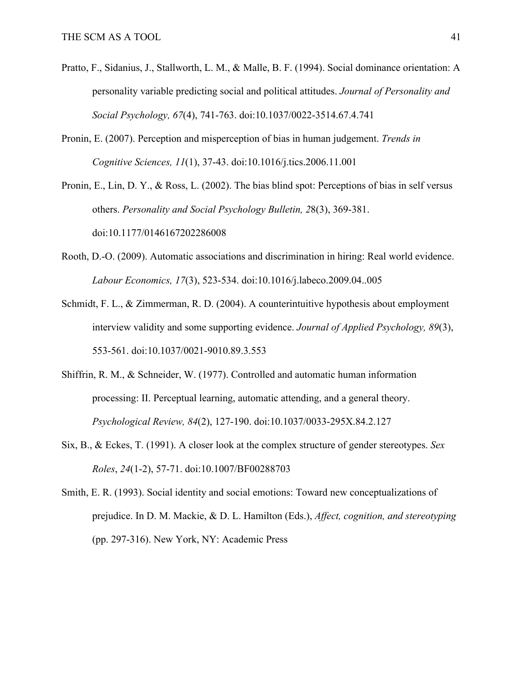- Pratto, F., Sidanius, J., Stallworth, L. M., & Malle, B. F. (1994). Social dominance orientation: A personality variable predicting social and political attitudes. *Journal of Personality and Social Psychology, 67*(4), 741-763. doi:10.1037/0022-3514.67.4.741
- Pronin, E. (2007). Perception and misperception of bias in human judgement. *Trends in Cognitive Sciences, 11*(1), 37-43. doi:10.1016/j.tics.2006.11.001

Pronin, E., Lin, D. Y., & Ross, L. (2002). The bias blind spot: Perceptions of bias in self versus others. *Personality and Social Psychology Bulletin, 2*8(3), 369-381. doi:10.1177/0146167202286008

- Rooth, D.-O. (2009). Automatic associations and discrimination in hiring: Real world evidence. *Labour Economics, 17*(3), 523-534. doi:10.1016/j.labeco.2009.04..005
- Schmidt, F. L., & Zimmerman, R. D. (2004). A counterintuitive hypothesis about employment interview validity and some supporting evidence. *Journal of Applied Psychology, 89*(3), 553-561. doi:10.1037/0021-9010.89.3.553
- Shiffrin, R. M., & Schneider, W. (1977). Controlled and automatic human information processing: II. Perceptual learning, automatic attending, and a general theory. *Psychological Review, 84*(2), 127-190. doi:10.1037/0033-295X.84.2.127
- Six, B., & Eckes, T. (1991). A closer look at the complex structure of gender stereotypes. *Sex Roles*, *24*(1-2), 57-71. doi:10.1007/BF00288703
- Smith, E. R. (1993). Social identity and social emotions: Toward new conceptualizations of prejudice. In D. M. Mackie, & D. L. Hamilton (Eds.), *Affect, cognition, and stereotyping* (pp. 297-316). New York, NY: Academic Press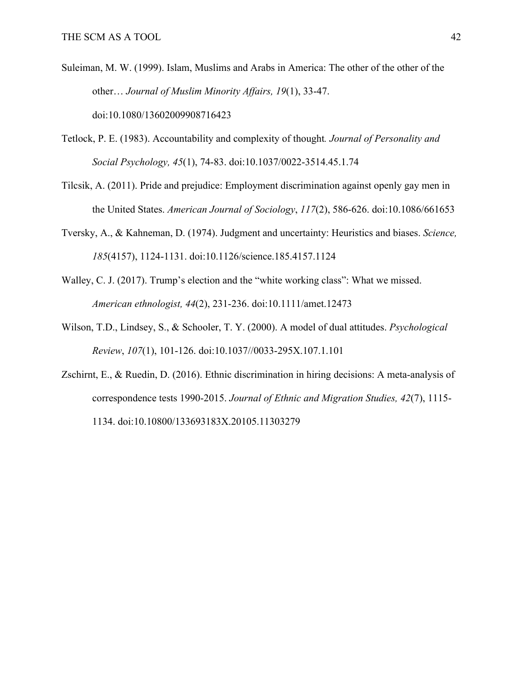- Suleiman, M. W. (1999). Islam, Muslims and Arabs in America: The other of the other of the other… *Journal of Muslim Minority Affairs, 19*(1), 33-47. doi:10.1080/13602009908716423
- Tetlock, P. E. (1983). Accountability and complexity of thought*. Journal of Personality and Social Psychology, 45*(1), 74-83. doi:10.1037/0022-3514.45.1.74
- Tilcsik, A. (2011). Pride and prejudice: Employment discrimination against openly gay men in the United States. *American Journal of Sociology*, *117*(2), 586-626. doi:10.1086/661653
- Tversky, A., & Kahneman, D. (1974). Judgment and uncertainty: Heuristics and biases. *Science, 185*(4157), 1124-1131. doi:10.1126/science.185.4157.1124
- Walley, C. J. (2017). Trump's election and the "white working class": What we missed. *American ethnologist, 44*(2), 231-236. doi:10.1111/amet.12473
- Wilson, T.D., Lindsey, S., & Schooler, T. Y. (2000). A model of dual attitudes. *Psychological Review*, *107*(1), 101-126. doi:10.1037//0033-295X.107.1.101
- Zschirnt, E., & Ruedin, D. (2016). Ethnic discrimination in hiring decisions: A meta-analysis of correspondence tests 1990-2015. *Journal of Ethnic and Migration Studies, 42*(7), 1115- 1134. doi:10.10800/133693183X.20105.11303279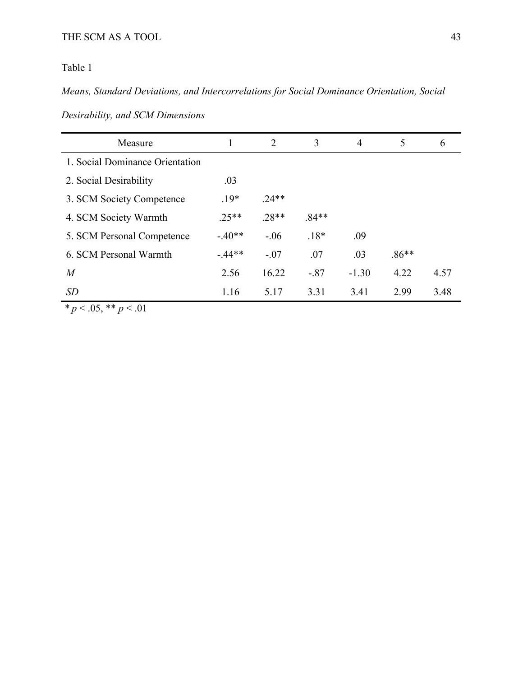## Table 1

*Means, Standard Deviations, and Intercorrelations for Social Dominance Orientation, Social* 

| Measure                         |          | 2       | 3       | 4       | 5       | 6    |
|---------------------------------|----------|---------|---------|---------|---------|------|
| 1. Social Dominance Orientation |          |         |         |         |         |      |
| 2. Social Desirability          | .03      |         |         |         |         |      |
| 3. SCM Society Competence       | $.19*$   | $.24**$ |         |         |         |      |
| 4. SCM Society Warmth           | $.25**$  | $.28**$ | $.84**$ |         |         |      |
| 5. SCM Personal Competence      | $-.40**$ | $-.06$  | $.18*$  | .09     |         |      |
| 6. SCM Personal Warmth          | $-44**$  | $-.07$  | .07     | .03     | $.86**$ |      |
| $\overline{M}$                  | 2.56     | 16.22   | $-.87$  | $-1.30$ | 4.22    | 4.57 |
| SD                              | 1.16     | 5.17    | 3.31    | 3.41    | 2.99    | 3.48 |

*\* p* < .05, \*\* *p* < .01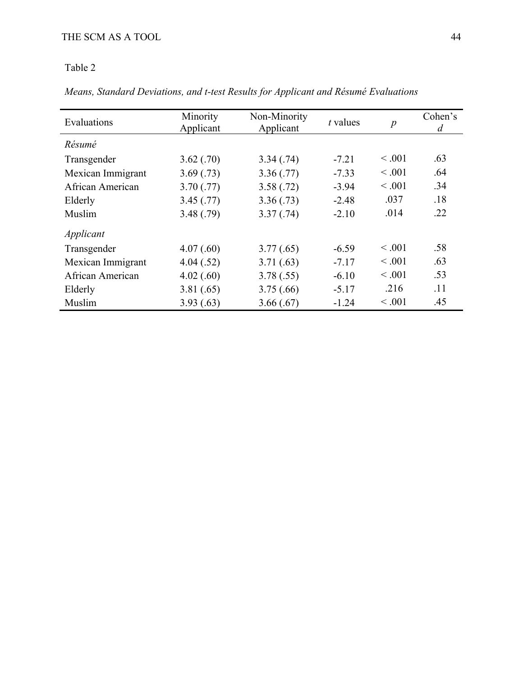## Table 2

*Means, Standard Deviations, and t-test Results for Applicant and Résumé Evaluations*

| Evaluations       | Minority<br>Applicant | Non-Minority<br>Applicant | $t$ values | $\boldsymbol{p}$ | Cohen's<br>d |
|-------------------|-----------------------|---------------------------|------------|------------------|--------------|
| Résumé            |                       |                           |            |                  |              |
| Transgender       | 3.62(.70)             | 3.34(.74)                 | $-7.21$    | < 0.001          | .63          |
| Mexican Immigrant | 3.69(0.73)            | 3.36(.77)                 | $-7.33$    | < 0.001          | .64          |
| African American  | 3.70(.77)             | 3.58(.72)                 | $-3.94$    | < 0.001          | .34          |
| Elderly           | 3.45(.77)             | 3.36(.73)                 | $-2.48$    | .037             | .18          |
| Muslim            | 3.48(.79)             | 3.37(.74)                 | $-2.10$    | .014             | .22          |
| Applicant         |                       |                           |            |                  |              |
| Transgender       | 4.07(.60)             | 3.77(.65)                 | $-6.59$    | < 0.001          | .58          |
| Mexican Immigrant | 4.04(.52)             | 3.71(0.63)                | $-7.17$    | < 0.001          | .63          |
| African American  | 4.02(.60)             | 3.78(.55)                 | $-6.10$    | < 0.001          | .53          |
| Elderly           | 3.81(.65)             | 3.75(.66)                 | $-5.17$    | .216             | .11          |
| Muslim            | 3.93(0.63)            | 3.66(.67)                 | $-1.24$    | < 0.001          | .45          |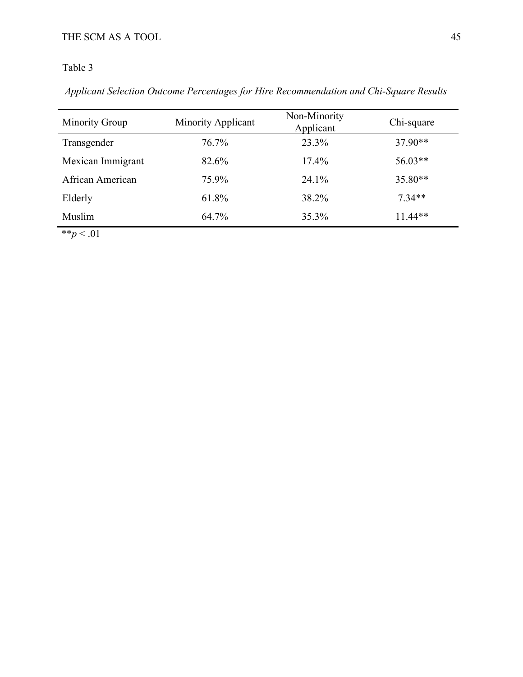## Table 3

*Applicant Selection Outcome Percentages for Hire Recommendation and Chi-Square Results*

| <b>Minority Group</b> | <b>Minority Applicant</b> | Non-Minority<br>Applicant | Chi-square |
|-----------------------|---------------------------|---------------------------|------------|
| Transgender           | 76.7%                     | 23.3%                     | $37.90**$  |
| Mexican Immigrant     | 82.6%                     | 17.4%                     | $56.03**$  |
| African American      | 75.9%                     | $24.1\%$                  | $35.80**$  |
| Elderly               | 61.8%                     | 38.2%                     | $7.34**$   |
| Muslim                | 64.7%                     | 35.3%                     | $11.44**$  |

\*\* $p < .01$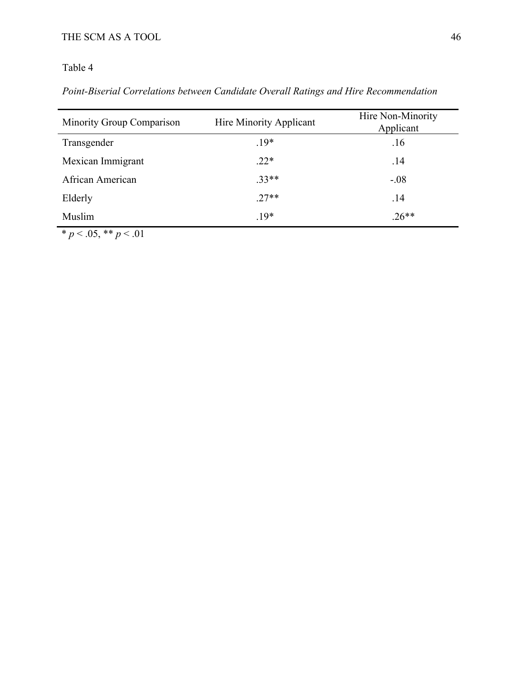## Table 4

## *Point-Biserial Correlations between Candidate Overall Ratings and Hire Recommendation*

| <b>Minority Group Comparison</b> | Hire Minority Applicant | Hire Non-Minority<br>Applicant |
|----------------------------------|-------------------------|--------------------------------|
| Transgender                      | $.19*$                  | .16                            |
| Mexican Immigrant                | $.22*$                  | .14                            |
| African American                 | $.33**$                 | $-.08$                         |
| Elderly                          | $.27**$                 | .14                            |
| Muslim                           | $.19*$                  | $.26**$                        |

 $\overline{\text{* } p \lt.05, \text{** } p \lt.01}$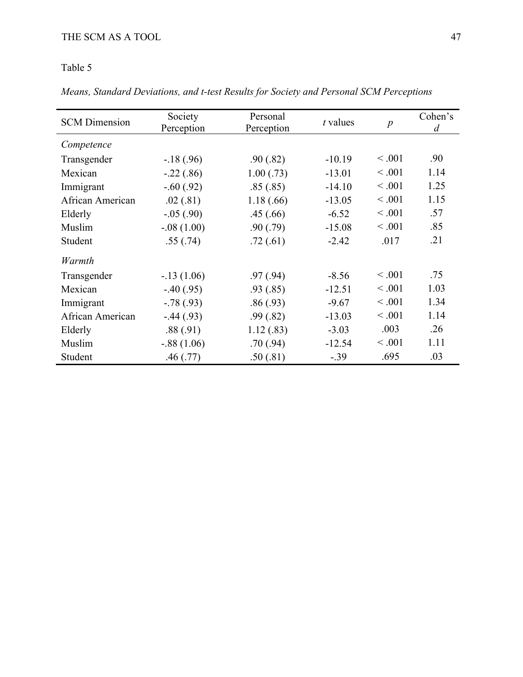Table 5

*Means, Standard Deviations, and t-test Results for Society and Personal SCM Perceptions* 

| <b>SCM</b> Dimension | Society<br>Perception | Personal<br>Perception | $t$ values | $\boldsymbol{p}$ | Cohen's<br>$\overline{d}$ |
|----------------------|-----------------------|------------------------|------------|------------------|---------------------------|
| Competence           |                       |                        |            |                  |                           |
| Transgender          | $-.18(.96)$           | .90(.82)               | $-10.19$   | < 0.001          | .90                       |
| Mexican              | $-.22(.86)$           | 1.00(.73)              | $-13.01$   | < 0.001          | 1.14                      |
| Immigrant            | $-.60(.92)$           | .85(.85)               | $-14.10$   | < 0.001          | 1.25                      |
| African American     | .02(.81)              | 1.18(.66)              | $-13.05$   | < .001           | 1.15                      |
| Elderly              | $-.05(.90)$           | .45(.66)               | $-6.52$    | < .001           | .57                       |
| Muslim               | $-.08(1.00)$          | .90(.79)               | $-15.08$   | < 0.001          | .85                       |
| Student              | .55(.74)              | .72(.61)               | $-2.42$    | .017             | .21                       |
| Warmth               |                       |                        |            |                  |                           |
| Transgender          | $-.13(1.06)$          | .97(0.94)              | $-8.56$    | < 0.001          | .75                       |
| Mexican              | $-.40(.95)$           | .93(0.85)              | $-12.51$   | < 0.001          | 1.03                      |
| Immigrant            | $-.78(.93)$           | .86(.93)               | $-9.67$    | < .001           | 1.34                      |
| African American     | $-.44(.93)$           | .99(0.82)              | $-13.03$   | < .001           | 1.14                      |
| Elderly              | .88(.91)              | 1.12(.83)              | $-3.03$    | .003             | .26                       |
| Muslim               | $-.88(1.06)$          | .70(0.94)              | $-12.54$   | < .001           | 1.11                      |
| Student              | .46(.77)              | .50(.81)               | $-.39$     | .695             | .03                       |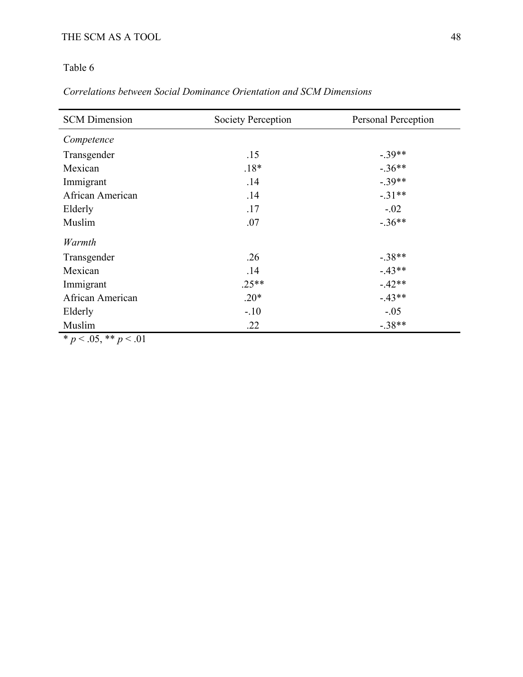## Table 6

## *Correlations between Social Dominance Orientation and SCM Dimensions*

| <b>SCM</b> Dimension | <b>Society Perception</b> | Personal Perception |  |  |
|----------------------|---------------------------|---------------------|--|--|
| Competence           |                           |                     |  |  |
| Transgender          | .15                       | $-.39**$            |  |  |
| Mexican              | $.18*$                    | $-.36**$            |  |  |
| Immigrant            | .14                       | $-.39**$            |  |  |
| African American     | .14                       | $-.31**$            |  |  |
| Elderly              | .17                       | $-.02$              |  |  |
| Muslim               | .07                       | $-.36**$            |  |  |
| Warmth               |                           |                     |  |  |
| Transgender          | .26                       | $-.38**$            |  |  |
| Mexican              | .14                       | $-.43**$            |  |  |
| Immigrant            | $.25**$                   | $-.42**$            |  |  |
| African American     | $.20*$                    | $-.43**$            |  |  |
| Elderly              | $-.10$                    | $-.05$              |  |  |
| Muslim               | .22                       | $-.38**$            |  |  |

\* *p* < .05, \*\* *p* < .01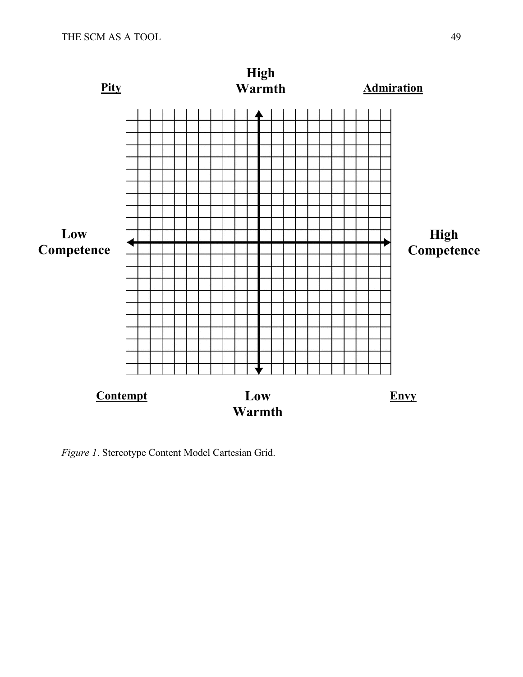

*Figure 1*. Stereotype Content Model Cartesian Grid.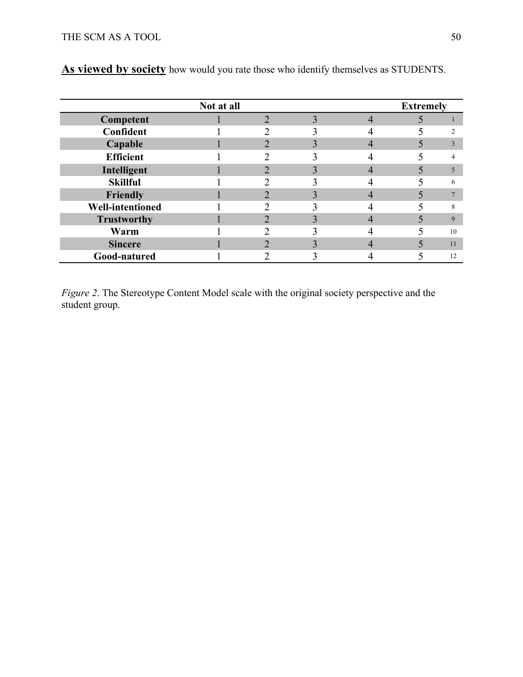|                         | Not at all |   |  | <b>Extremely</b> |    |
|-------------------------|------------|---|--|------------------|----|
| Competent               |            | ◠ |  |                  |    |
| Confident               |            |   |  |                  |    |
| Capable                 |            |   |  |                  |    |
| <b>Efficient</b>        |            |   |  |                  |    |
| Intelligent             |            |   |  |                  |    |
| <b>Skillful</b>         |            |   |  |                  | 6  |
| Friendly                |            |   |  |                  |    |
| <b>Well-intentioned</b> |            |   |  |                  |    |
| <b>Trustworthy</b>      |            |   |  |                  | 9  |
| Warm                    |            |   |  |                  | 10 |
| <b>Sincere</b>          |            |   |  |                  | 11 |
| Good-natured            |            |   |  |                  | 12 |

**As viewed by society** how would you rate those who identify themselves as STUDENTS.

*Figure 2*. The Stereotype Content Model scale with the original society perspective and the student group.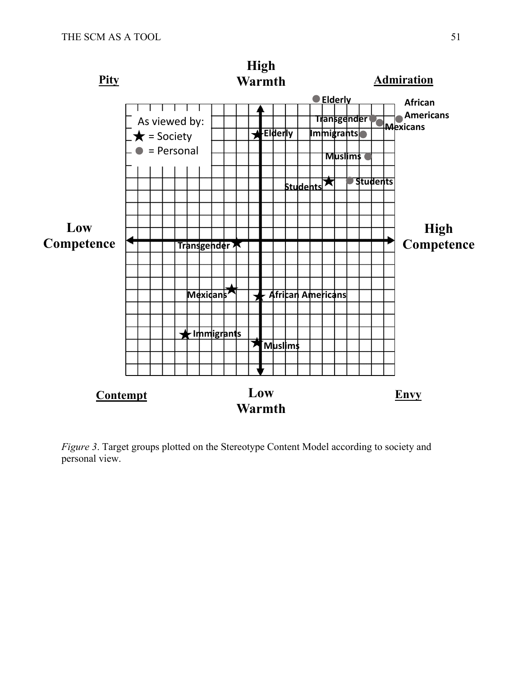

*Figure 3*. Target groups plotted on the Stereotype Content Model according to society and personal view.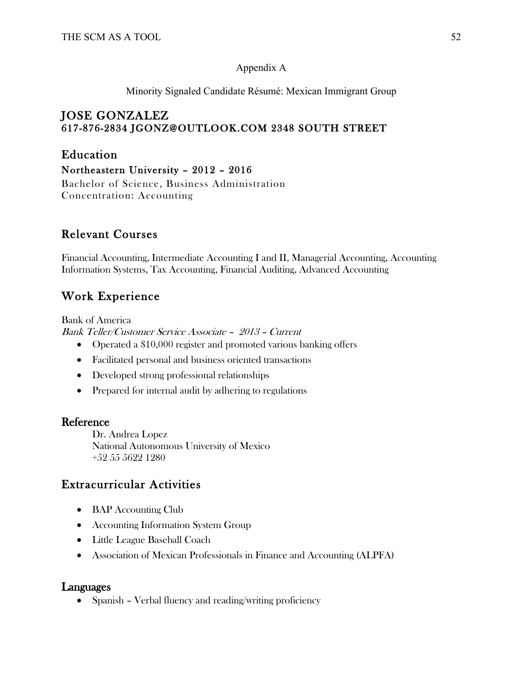## Appendix A

Minority Signaled Candidate Résumé: Mexican Immigrant Group

## JOSE GONZALEZ 617-876-2834 JGONZ@OUTLOOK.COM 2348 SOUTH STREET

# Education

Northeastern University – 2012 – 2016

Bachelor of Science, Business Administration Concentration: Accounting

# Relevant Courses

Financial Accounting, Intermediate Accounting I and II, Managerial Accounting, Accounting Information Systems, Tax Accounting, Financial Auditing, Advanced Accounting

# Work Experience

Bank of America Bank Teller/Customer Service Associate – 2013 – Current

- Operated a \$10,000 register and promoted various banking offers
- Facilitated personal and business oriented transactions
- Developed strong professional relationships
- Prepared for internal audit by adhering to regulations

## Reference

Dr. Andrea Lopez National Autonomous University of Mexico +52 55 5622 1280

# Extracurricular Activities

- BAP Accounting Club
- Accounting Information System Group
- Little League Baseball Coach
- Association of Mexican Professionals in Finance and Accounting (ALPFA)

## Languages

• Spanish – Verbal fluency and reading/writing proficiency